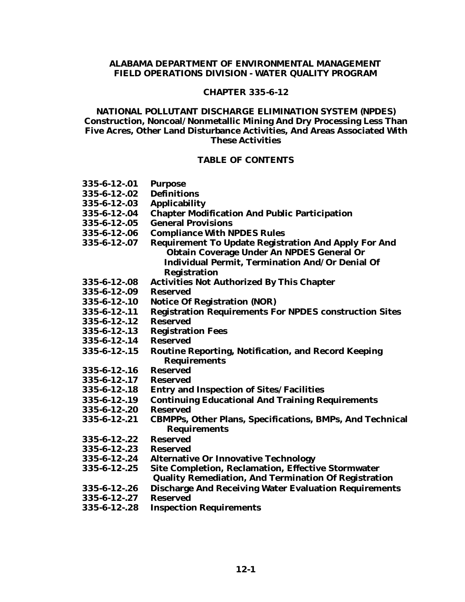#### **ALABAMA DEPARTMENT OF ENVIRONMENTAL MANAGEMENT FIELD OPERATIONS DIVISION - WATER QUALITY PROGRAM**

#### **CHAPTER 335-6-12**

#### **NATIONAL POLLUTANT DISCHARGE ELIMINATION SYSTEM (NPDES) Construction, Noncoal/Nonmetallic Mining And Dry Processing Less Than Five Acres, Other Land Disturbance Activities, And Areas Associated With These Activities**

#### **TABLE OF CONTENTS**

- **335-6-12-.01 Purpose**
- **335-6-12-.02 Definitions**
- **335-6-12-.03 Applicability**
- **335-6-12-.04 Chapter Modification And Public Participation**
- **335-6-12-.05 General Provisions**
- **335-6-12-.06 Compliance With NPDES Rules**
- **335-6-12-.07 Requirement To Update Registration And Apply For And Obtain Coverage Under An NPDES General Or Individual Permit, Termination And/Or Denial Of Registration**
- **335-6-12-.08 Activities Not Authorized By This Chapter**
- **335-6-12-.09 Reserved**
- **335-6-12-.10 Notice Of Registration (NOR)**
- **335-6-12-.11 Registration Requirements For NPDES construction Sites**
- **335-6-12-.12 Reserved**
- **335-6-12-.13 Registration Fees**
- **335-6-12-.14 Reserved**
- **335-6-12-.15 Routine Reporting, Notification, and Record Keeping Requirements**
- **335-6-12-.16 Reserved**
- **335-6-12-.17 Reserved**
- **335-6-12-.18 Entry and Inspection of Sites/Facilities**
- **335-6-12-.19 Continuing Educational And Training Requirements**
- **335-6-12-.20 Reserved**
- **335-6-12-.21 CBMPPs, Other Plans, Specifications, BMPs, And Technical Requirements**
- **335-6-12-.22 Reserved**
- **335-6-12-.23 Reserved**
- **335-6-12-.24 Alternative Or Innovative Technology**
- **335-6-12-.25 Site Completion, Reclamation, Effective Stormwater**
	- **Quality Remediation, And Termination Of Registration**
- **335-6-12-.26 Discharge And Receiving Water Evaluation Requirements**
- **335-6-12-.27 Reserved**
- **335-6-12-.28 Inspection Requirements**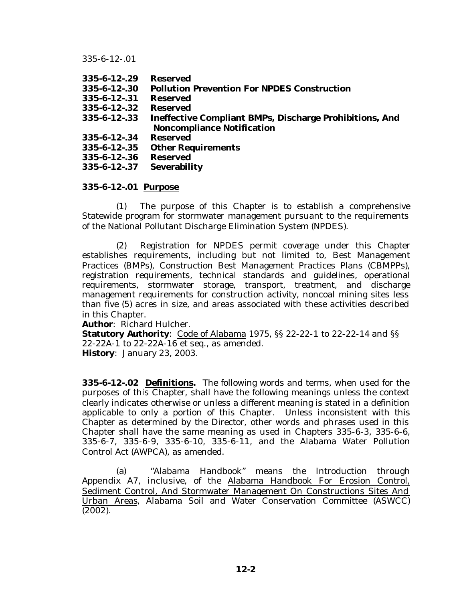| <b>Reserved</b>                                                |
|----------------------------------------------------------------|
| <b>Pollution Prevention For NPDES Construction</b>             |
| <b>Reserved</b>                                                |
| <b>Reserved</b>                                                |
| <b>Ineffective Compliant BMPs, Discharge Prohibitions, And</b> |
| <b>Noncompliance Notification</b>                              |
| <b>Reserved</b>                                                |
| <b>Other Requirements</b>                                      |
| <b>Reserved</b>                                                |
| <b>Severability</b>                                            |
|                                                                |

#### **335-6-12-.01 Purpose**

(1) The purpose of this Chapter is to establish a comprehensive Statewide program for stormwater management pursuant to the requirements of the National Pollutant Discharge Elimination System (NPDES).

(2) Registration for NPDES permit coverage under this Chapter establishes requirements, including but not limited to, Best Management Practices (BMPs), Construction Best Management Practices Plans (CBMPPs), registration requirements, technical standards and guidelines, operational requirements, stormwater storage, transport, treatment, and discharge management requirements for construction activity, noncoal mining sites less than five (5) acres in size, and areas associated with these activities described in this Chapter.

**Author**: Richard Hulcher.

**Statutory Authority**: Code of Alabama 1975, §§ 22-22-1 to 22-22-14 and §§ 22-22A-1 to 22-22A-16 et seq., as amended. **History**: January 23, 2003.

**335-6-12-.02 Definitions.** The following words and terms, when used for the purposes of this Chapter, shall have the following meanings unless the context clearly indicates otherwise or unless a different meaning is stated in a definition applicable to only a portion of this Chapter. Unless inconsistent with this Chapter as determined by the Director, other words and phrases used in this Chapter shall have the same meaning as used in Chapters 335-6-3, 335-6-6, 335-6-7, 335-6-9, 335-6-10, 335-6-11, and the Alabama Water Pollution Control Act (AWPCA), as amended.

(a) "Alabama Handbook" means the Introduction through Appendix A7, inclusive, of the Alabama Handbook For Erosion Control, Sediment Control, And Stormwater Management On Constructions Sites And Urban Areas, Alabama Soil and Water Conservation Committee (ASWCC) (2002).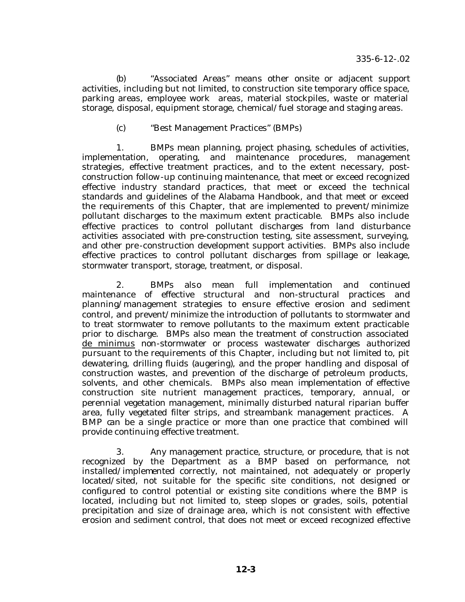(b) "Associated Areas" means other onsite or adjacent support activities, including but not limited, to construction site temporary office space, parking areas, employee work areas, material stockpiles, waste or material storage, disposal, equipment storage, chemical/fuel storage and staging areas.

#### (c) "Best Management Practices" (BMPs)

1. BMPs mean planning, project phasing, schedules of activities, implementation, operating, and maintenance procedures, management strategies, effective treatment practices, and to the extent necessary, postconstruction follow-up continuing maintenance, that meet or exceed recognized effective industry standard practices, that meet or exceed the technical standards and guidelines of the Alabama Handbook, and that meet or exceed the requirements of this Chapter, that are implemented to prevent/minimize pollutant discharges to the maximum extent practicable. BMPs also include effective practices to control pollutant discharges from land disturbance activities associated with pre-construction testing, site assessment, surveying, and other pre-construction development support activities. BMPs also include effective practices to control pollutant discharges from spillage or leakage, stormwater transport, storage, treatment, or disposal.

2. BMPs also mean full implementation and continued maintenance of effective structural and non-structural practices and planning/management strategies to ensure effective erosion and sediment control, and prevent/minimize the introduction of pollutants to stormwater and to treat stormwater to remove pollutants to the maximum extent practicable prior to discharge. BMPs also mean the treatment of construction associated de minimus non-stormwater or process wastewater discharges authorized pursuant to the requirements of this Chapter, including but not limited to, pit dewatering, drilling fluids (augering), and the proper handling and disposal of construction wastes, and prevention of the discharge of petroleum products, solvents, and other chemicals. BMPs also mean implementation of effective construction site nutrient management practices, temporary, annual, or perennial vegetation management, minimally disturbed natural riparian buffer area, fully vegetated filter strips, and streambank management practices. A BMP can be a single practice or more than one practice that combined will provide continuing effective treatment.

3. Any management practice, structure, or procedure, that is not recognized by the Department as a BMP based on performance, not installed/implemented correctly, not maintained, not adequately or properly located/sited, not suitable for the specific site conditions, not designed or configured to control potential or existing site conditions where the BMP is located, including but not limited to, steep slopes or grades, soils, potential precipitation and size of drainage area, which is not consistent with effective erosion and sediment control, that does not meet or exceed recognized effective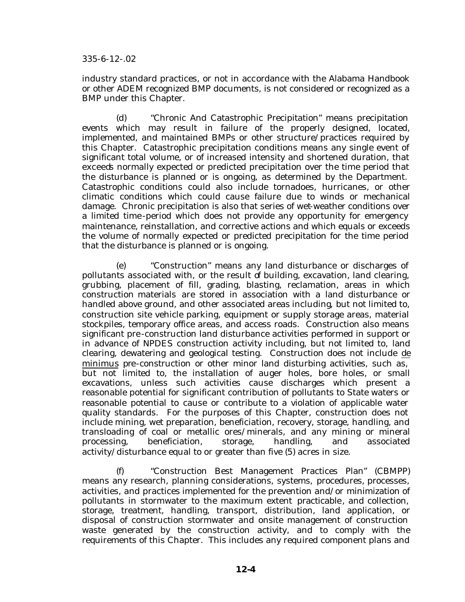industry standard practices, or not in accordance with the Alabama Handbook or other ADEM recognized BMP documents, is not considered or recognized as a BMP under this Chapter.

(d) "Chronic And Catastrophic Precipitation" means precipitation events which may result in failure of the properly designed, located, implemented, and maintained BMPs or other structure/practices required by this Chapter. Catastrophic precipitation conditions means any single event of significant total volume, or of increased intensity and shortened duration, that exceeds normally expected or predicted precipitation over the time period that the disturbance is planned or is ongoing, as determined by the Department. Catastrophic conditions could also include tornadoes, hurricanes, or other climatic conditions which could cause failure due to winds or mechanical damage. Chronic precipitation is also that series of wet-weather conditions over a limited time-period which does not provide any opportunity for emergency maintenance, reinstallation, and corrective actions and which equals or exceeds the volume of normally expected or predicted precipitation for the time period that the disturbance is planned or is ongoing.

(e) "Construction" means any land disturbance or discharges of pollutants associated with, or the result of building, excavation, land clearing, grubbing, placement of fill, grading, blasting, reclamation, areas in which construction materials are stored in association with a land disturbance or handled above ground, and other associated areas including, but not limited to, construction site vehicle parking, equipment or supply storage areas, material stockpiles, temporary office areas, and access roads. Construction also means significant pre-construction land disturbance activities performed in support or in advance of NPDES construction activity including, but not limited to, land clearing, dewatering and geological testing. Construction does not include de minimus pre-construction or other minor land disturbing activities, such as, but not limited to, the installation of auger holes, bore holes, or small excavations, unless such activities cause discharges which present a reasonable potential for significant contribution of pollutants to State waters or reasonable potential to cause or contribute to a violation of applicable water quality standards. For the purposes of this Chapter, construction does not include mining, wet preparation, beneficiation, recovery, storage, handling, and transloading of coal or metallic ores/minerals, and any mining or mineral processing, beneficiation, storage, handling, and associated activity/disturbance equal to or greater than five (5) acres in size.

(f) "Construction Best Management Practices Plan" (CBMPP) means any research, planning considerations, systems, procedures, processes, activities, and practices implemented for the prevention and/or minimization of pollutants in stormwater to the maximum extent practicable, and collection, storage, treatment, handling, transport, distribution, land application, or disposal of construction stormwater and onsite management of construction waste generated by the construction activity, and to comply with the requirements of this Chapter. This includes any required component plans and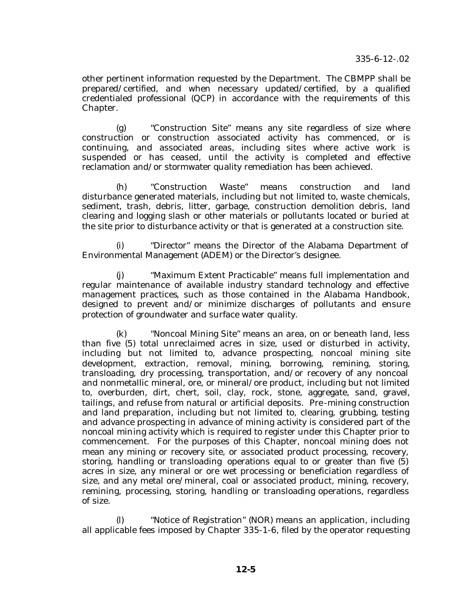other pertinent information requested by the Department. The CBMPP shall be prepared/certified, and when necessary updated/certified, by a qualified credentialed professional (QCP) in accordance with the requirements of this Chapter.

(g) "Construction Site" means any site regardless of size where construction or construction associated activity has commenced, or is continuing, and associated areas, including sites where active work is suspended or has ceased, until the activity is completed and effective reclamation and/or stormwater quality remediation has been achieved.

(h) "Construction Waste" means construction and land disturbance generated materials, including but not limited to, waste chemicals, sediment, trash, debris, litter, garbage, construction demolition debris, land clearing and logging slash or other materials or pollutants located or buried at the site prior to disturbance activity or that is generated at a construction site.

(i) "Director" means the Director of the Alabama Department of Environmental Management (ADEM) or the Director's designee.

(j) "Maximum Extent Practicable" means full implementation and regular maintenance of available industry standard technology and effective management practices, such as those contained in the Alabama Handbook, designed to prevent and/or minimize discharges of pollutants and ensure protection of groundwater and surface water quality.

(k) "Noncoal Mining Site" means an area, on or beneath land, less than five (5) total unreclaimed acres in size, used or disturbed in activity, including but not limited to, advance prospecting, noncoal mining site development, extraction, removal, mining, borrowing, remining, storing, transloading, dry processing, transportation, and/or recovery of any noncoal and nonmetallic mineral, ore, or mineral/ore product, including but not limited to, overburden, dirt, chert, soil, clay, rock, stone, aggregate, sand, gravel, tailings, and refuse from natural or artificial deposits. Pre-mining construction and land preparation, including but not limited to, clearing, grubbing, testing and advance prospecting in advance of mining activity is considered part of the noncoal mining activity which is required to register under this Chapter prior to commencement. For the purposes of this Chapter, noncoal mining does not mean any mining or recovery site, or associated product processing, recovery, storing, handling or transloading operations equal to or greater than five (5) acres in size, any mineral or ore wet processing or beneficiation regardless of size, and any metal ore/mineral, coal or associated product, mining, recovery, remining, processing, storing, handling or transloading operations, regardless of size.

(l) "Notice of Registration" (NOR) means an application, including all applicable fees imposed by Chapter 335-1-6, filed by the operator requesting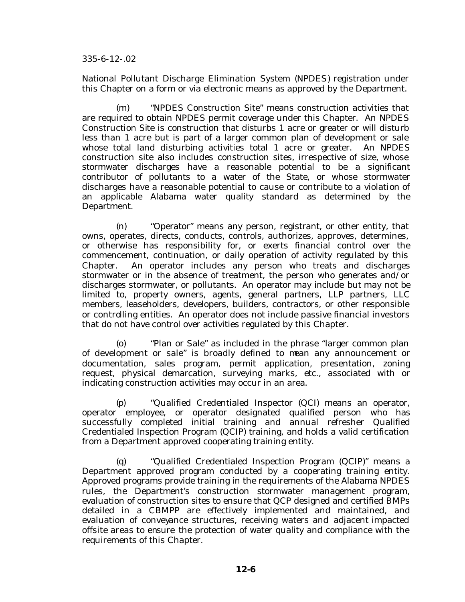National Pollutant Discharge Elimination System (NPDES) registration under this Chapter on a form or via electronic means as approved by the Department.

(m) "NPDES Construction Site" means construction activities that are required to obtain NPDES permit coverage under this Chapter. An NPDES Construction Site is construction that disturbs 1 acre or greater or will disturb less than 1 acre but is part of a larger common plan of development or sale whose total land disturbing activities total 1 acre or greater. An NPDES construction site also includes construction sites, irrespective of size, whose stormwater discharges have a reasonable potential to be a significant contributor of pollutants to a water of the State, or whose stormwater discharges have a reasonable potential to cause or contribute to a violation of an applicable Alabama water quality standard as determined by the Department.

(n) "Operator" means any person, registrant, or other entity, that owns, operates, directs, conducts, controls, authorizes, approves, determines, or otherwise has responsibility for, or exerts financial control over the commencement, continuation, or daily operation of activity regulated by this Chapter. An operator includes any person who treats and discharges stormwater or in the absence of treatment, the person who generates and/or discharges stormwater, or pollutants. An operator may include but may not be limited to, property owners, agents, general partners, LLP partners, LLC members, leaseholders, developers, builders, contractors, or other responsible or controlling entities. An operator does not include passive financial investors that do not have control over activities regulated by this Chapter.

(o) "Plan or Sale" as included in the phrase "larger common plan of development or sale" is broadly defined to mean any announcement or documentation, sales program, permit application, presentation, zoning request, physical demarcation, surveying marks, etc., associated with or indicating construction activities may occur in an area.

(p) "Qualified Credentialed Inspector (QCI) means an operator, operator employee, or operator designated qualified person who has successfully completed initial training and annual refresher Qualified Credentialed Inspection Program (QCIP) training, and holds a valid certification from a Department approved cooperating training entity.

(q) "Qualified Credentialed Inspection Program (QCIP)" means a Department approved program conducted by a cooperating training entity. Approved programs provide training in the requirements of the Alabama NPDES rules, the Department's construction stormwater management program, evaluation of construction sites to ensure that QCP designed and certified BMPs detailed in a CBMPP are effectively implemented and maintained, and evaluation of conveyance structures, receiving waters and adjacent impacted offsite areas to ensure the protection of water quality and compliance with the requirements of this Chapter.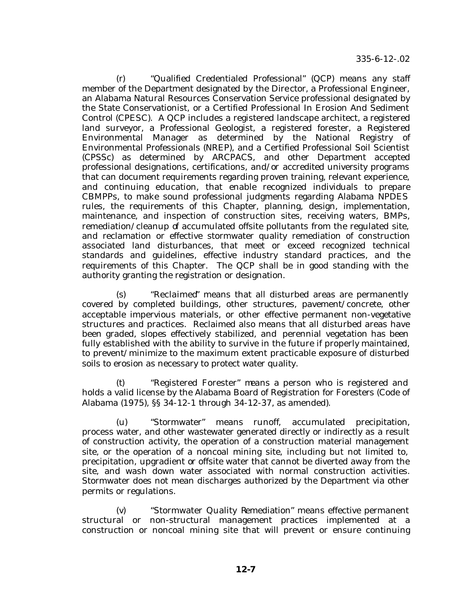(r) "Qualified Credentialed Professional" (QCP) means any staff member of the Department designated by the Director, a Professional Engineer, an Alabama Natural Resources Conservation Service professional designated by the State Conservationist, or a Certified Professional In Erosion And Sediment Control (CPESC). A QCP includes a registered landscape architect, a registered land surveyor, a Professional Geologist, a registered forester, a Registered Environmental Manager as determined by the National Registry of Environmental Professionals (NREP), and a Certified Professional Soil Scientist (CPSSc) as determined by ARCPACS, and other Department accepted professional designations, certifications, and/or accredited university programs that can document requirements regarding proven training, relevant experience, and continuing education, that enable recognized individuals to prepare CBMPPs, to make sound professional judgments regarding Alabama NPDES rules, the requirements of this Chapter, planning, design, implementation, maintenance, and inspection of construction sites, receiving waters, BMPs, remediation/cleanup of accumulated offsite pollutants from the regulated site, and reclamation or effective stormwater quality remediation of construction associated land disturbances, that meet or exceed recognized technical standards and guidelines, effective industry standard practices, and the requirements of this Chapter. The QCP shall be in good standing with the authority granting the registration or designation.

(s) "Reclaimed" means that all disturbed areas are permanently covered by completed buildings, other structures, pavement/concrete, other acceptable impervious materials, or other effective permanent non-vegetative structures and practices. Reclaimed also means that all disturbed areas have been graded, slopes effectively stabilized, and perennial vegetation has been fully established with the ability to survive in the future if properly maintained, to prevent/minimize to the maximum extent practicable exposure of disturbed soils to erosion as necessary to protect water quality.

(t) "Registered Forester" means a person who is registered and holds a valid license by the Alabama Board of Registration for Foresters (Code of Alabama (1975), §§ 34-12-1 through 34-12-37, as amended).

(u) "Stormwater" means runoff, accumulated precipitation, process water, and other wastewater generated directly or indirectly as a result of construction activity, the operation of a construction material management site, or the operation of a noncoal mining site, including but not limited to, precipitation, upgradient or offsite water that cannot be diverted away from the site, and wash down water associated with normal construction activities. Stormwater does not mean discharges authorized by the Department via other permits or regulations.

(v) "Stormwater Quality Remediation" means effective permanent structural or non-structural management practices implemented at a construction or noncoal mining site that will prevent or ensure continuing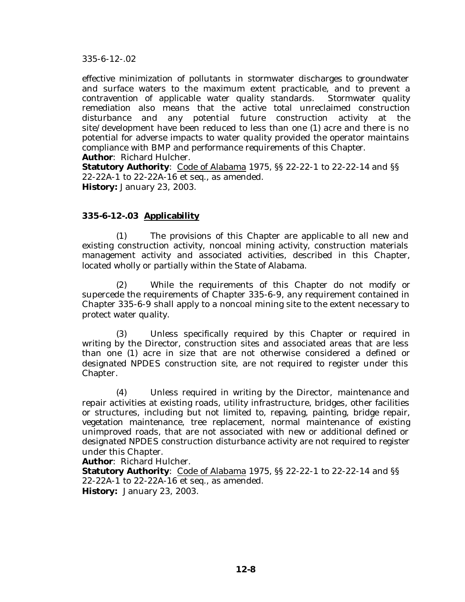effective minimization of pollutants in stormwater discharges to groundwater and surface waters to the maximum extent practicable, and to prevent a contravention of applicable water quality standards. Stormwater quality remediation also means that the active total unreclaimed construction disturbance and any potential future construction activity at the site/development have been reduced to less than one (1) acre and there is no potential for adverse impacts to water quality provided the operator maintains compliance with BMP and performance requirements of this Chapter. **Author**: Richard Hulcher.

**Statutory Authority**: Code of Alabama 1975, §§ 22-22-1 to 22-22-14 and §§ 22-22A-1 to 22-22A-16 et seq., as amended. **History:** January 23, 2003.

## **335-6-12-.03 Applicability**

(1) The provisions of this Chapter are applicable to all new and existing construction activity, noncoal mining activity, construction materials management activity and associated activities, described in this Chapter, located wholly or partially within the State of Alabama.

(2) While the requirements of this Chapter do not modify or supercede the requirements of Chapter 335-6-9, any requirement contained in Chapter 335-6-9 shall apply to a noncoal mining site to the extent necessary to protect water quality.

(3) Unless specifically required by this Chapter or required in writing by the Director, construction sites and associated areas that are less than one (1) acre in size that are not otherwise considered a defined or designated NPDES construction site, are not required to register under this Chapter.

(4) Unless required in writing by the Director, maintenance and repair activities at existing roads, utility infrastructure, bridges, other facilities or structures, including but not limited to, repaving, painting, bridge repair, vegetation maintenance, tree replacement, normal maintenance of existing unimproved roads, that are not associated with new or additional defined or designated NPDES construction disturbance activity are not required to register under this Chapter.

**Author**: Richard Hulcher.

**Statutory Authority**: Code of Alabama 1975, SS 22-22-1 to 22-22-14 and SS 22-22A-1 to 22-22A-16 et seq., as amended. **History:** January 23, 2003.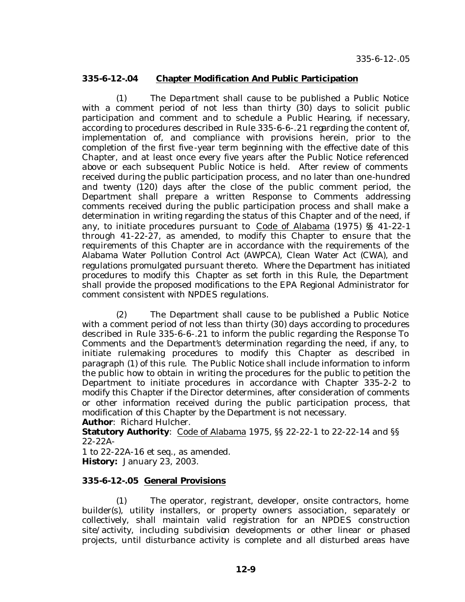#### **335-6-12-.04 Chapter Modification And Public Participation**

(1) The Department shall cause to be published a Public Notice with a comment period of not less than thirty (30) days to solicit public participation and comment and to schedule a Public Hearing, if necessary, according to procedures described in Rule 335-6-6-.21 regarding the content of, implementation of, and compliance with provisions herein, prior to the completion of the first five -year term beginning with the effective date of this Chapter, and at least once every five years after the Public Notice referenced above or each subsequent Public Notice is held. After review of comments received during the public participation process, and no later than one-hundred and twenty (120) days after the close of the public comment period, the Department shall prepare a written Response to Comments addressing comments received during the public participation process and shall make a determination in writing regarding the status of this Chapter and of the need, if any, to initiate procedures pursuant to Code of Alabama (1975) §§ 41-22-1 through 41-22-27, as amended, to modify this Chapter to ensure that the requirements of this Chapter are in accordance with the requirements of the Alabama Water Pollution Control Act (AWPCA), Clean Water Act (CWA), and regulations promulgated pursuant thereto. Where the Department has initiated procedures to modify this Chapter as set forth in this Rule, the Department shall provide the proposed modifications to the EPA Regional Administrator for comment consistent with NPDES regulations.

(2) The Department shall cause to be published a Public Notice with a comment period of not less than thirty (30) days according to procedures described in Rule 335-6-6-.21 to inform the public regarding the Response To Comments and the Department's determination regarding the need, if any, to initiate rulemaking procedures to modify this Chapter as described in paragraph (1) of this rule. The Public Notice shall include information to inform the public how to obtain in writing the procedures for the public to petition the Department to initiate procedures in accordance with Chapter 335-2-2 to modify this Chapter if the Director determines, after consideration of comments or other information received during the public participation process, that modification of this Chapter by the Department is not necessary. **Author**: Richard Hulcher.

**Statutory Authority**: Code of Alabama 1975, §§ 22-22-1 to 22-22-14 and §§ 22-22A-

1 to 22-22A-16 et seq., as amended. **History:** January 23, 2003.

## **335-6-12-.05 General Provisions**

(1) The operator, registrant, developer, onsite contractors, home builder(s), utility installers, or property owners association, separately or collectively, shall maintain valid registration for an NPDES construction site/activity, including subdivision developments or other linear or phased projects, until disturbance activity is complete and all disturbed areas have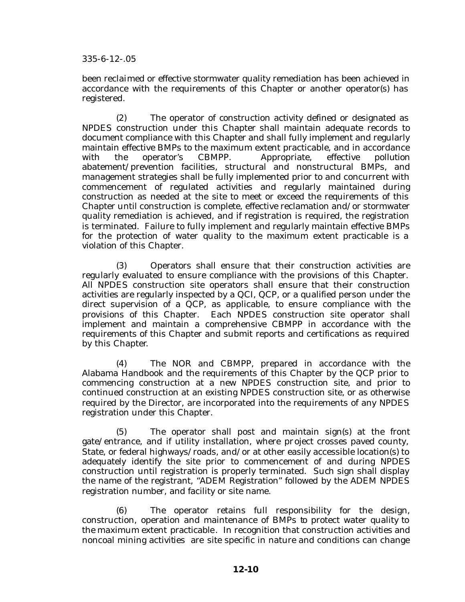been reclaimed or effective stormwater quality remediation has been achieved in accordance with the requirements of this Chapter or another operator(s) has registered.

(2) The operator of construction activity defined or designated as NPDES construction under this Chapter shall maintain adequate records to document compliance with this Chapter and shall fully implement and regularly maintain effective BMPs to the maximum extent practicable, and in accordance with the operator's CBMPP. Appropriate, effective pollution abatement/prevention facilities, structural and nonstructural BMPs, and management strategies shall be fully implemented prior to and concurrent with commencement of regulated activities and regularly maintained during construction as needed at the site to meet or exceed the requirements of this Chapter until construction is complete, effective reclamation and/or stormwater quality remediation is achieved, and if registration is required, the registration is terminated. Failure to fully implement and regularly maintain effective BMPs for the protection of water quality to the maximum extent practicable is a violation of this Chapter.

(3) Operators shall ensure that their construction activities are regularly evaluated to ensure compliance with the provisions of this Chapter. All NPDES construction site operators shall ensure that their construction activities are regularly inspected by a QCI, QCP, or a qualified person under the direct supervision of a QCP, as applicable, to ensure compliance with the provisions of this Chapter. Each NPDES construction site operator shall implement and maintain a comprehensive CBMPP in accordance with the requirements of this Chapter and submit reports and certifications as required by this Chapter.

(4) The NOR and CBMPP, prepared in accordance with the Alabama Handbook and the requirements of this Chapter by the QCP prior to commencing construction at a new NPDES construction site, and prior to continued construction at an existing NPDES construction site, or as otherwise required by the Director, are incorporated into the requirements of any NPDES registration under this Chapter.

(5) The operator shall post and maintain sign(s) at the front gate/entrance, and if utility installation, where project crosses paved county, State, or federal highways/roads, and/or at other easily accessible location(s) to adequately identify the site prior to commencement of and during NPDES construction until registration is properly terminated. Such sign shall display the name of the registrant, "ADEM Registration" followed by the ADEM NPDES registration number, and facility or site name.

(6) The operator retains full responsibility for the design, construction, operation and maintenance of BMPs to protect water quality to the maximum extent practicable. In recognition that construction activities and noncoal mining activities are site specific in nature and conditions can change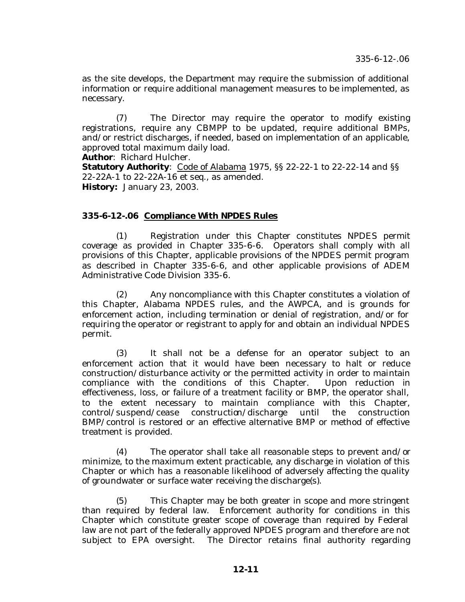as the site develops, the Department may require the submission of additional information or require additional management measures to be implemented, as necessary.

(7) The Director may require the operator to modify existing registrations, require any CBMPP to be updated, require additional BMPs, and/or restrict discharges, if needed, based on implementation of an applicable, approved total maximum daily load.

**Author**: Richard Hulcher.

**Statutory Authority**: Code of Alabama 1975, §§ 22-22-1 to 22-22-14 and §§ 22-22A-1 to 22-22A-16 et seq., as amended. **History:** January 23, 2003.

## **335-6-12-.06 Compliance With NPDES Rules**

(1) Registration under this Chapter constitutes NPDES permit coverage as provided in Chapter 335-6-6. Operators shall comply with all provisions of this Chapter, applicable provisions of the NPDES permit program as described in Chapter 335-6-6, and other applicable provisions of ADEM Administrative Code Division 335-6.

(2) Any noncompliance with this Chapter constitutes a violation of this Chapter, Alabama NPDES rules, and the AWPCA, and is grounds for enforcement action, including termination or denial of registration, and/or for requiring the operator or registrant to apply for and obtain an individual NPDES permit.

(3) It shall not be a defense for an operator subject to an enforcement action that it would have been necessary to halt or reduce construction/disturbance activity or the permitted activity in order to maintain compliance with the conditions of this Chapter. Upon reduction in effectiveness, loss, or failure of a treatment facility or BMP, the operator shall, to the extent necessary to maintain compliance with this Chapter, control/suspend/cease construction/discharge until the construction BMP/control is restored or an effective alternative BMP or method of effective treatment is provided.

(4) The operator shall take all reasonable steps to prevent and/or minimize, to the maximum extent practicable, any discharge in violation of this Chapter or which has a reasonable likelihood of adversely affecting the quality of groundwater or surface water receiving the discharge(s).

(5) This Chapter may be both greater in scope and more stringent than required by federal law. Enforcement authority for conditions in this Chapter which constitute greater scope of coverage than required by Federal law are not part of the federally approved NPDES program and therefore are not subject to EPA oversight. The Director retains final authority regarding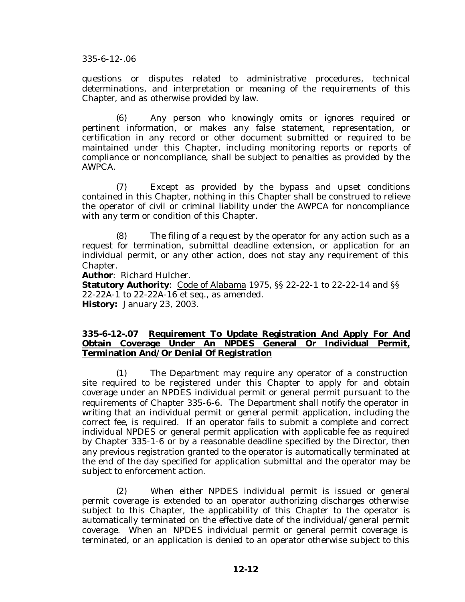questions or disputes related to administrative procedures, technical determinations, and interpretation or meaning of the requirements of this Chapter, and as otherwise provided by law.

(6) Any person who knowingly omits or ignores required or pertinent information, or makes any false statement, representation, or certification in any record or other document submitted or required to be maintained under this Chapter, including monitoring reports or reports of compliance or noncompliance, shall be subject to penalties as provided by the AWPCA.

(7) Except as provided by the bypass and upset conditions contained in this Chapter, nothing in this Chapter shall be construed to relieve the operator of civil or criminal liability under the AWPCA for noncompliance with any term or condition of this Chapter.

(8) The filing of a request by the operator for any action such as a request for termination, submittal deadline extension, or application for an individual permit, or any other action, does not stay any requirement of this Chapter.

**Author**: Richard Hulcher.

**Statutory Authority**: Code of Alabama 1975, §§ 22-22-1 to 22-22-14 and §§ 22-22A-1 to 22-22A-16 et seq., as amended. **History:** January 23, 2003.

#### **335-6-12-.07 Requirement To Update Registration And Apply For And Obtain Coverage Under An NPDES General Or Individual Permit, Termination And/Or Denial Of Registration**

(1) The Department may require any operator of a construction site required to be registered under this Chapter to apply for and obtain coverage under an NPDES individual permit or general permit pursuant to the requirements of Chapter 335-6-6. The Department shall notify the operator in writing that an individual permit or general permit application, including the correct fee, is required. If an operator fails to submit a complete and correct individual NPDES or general permit application with applicable fee as required by Chapter 335-1-6 or by a reasonable deadline specified by the Director, then any previous registration granted to the operator is automatically terminated at the end of the day specified for application submittal and the operator may be subject to enforcement action.

(2) When either NPDES individual permit is issued or general permit coverage is extended to an operator authorizing discharges otherwise subject to this Chapter, the applicability of this Chapter to the operator is automatically terminated on the effective date of the individual/general permit coverage. When an NPDES individual permit or general permit coverage is terminated, or an application is denied to an operator otherwise subject to this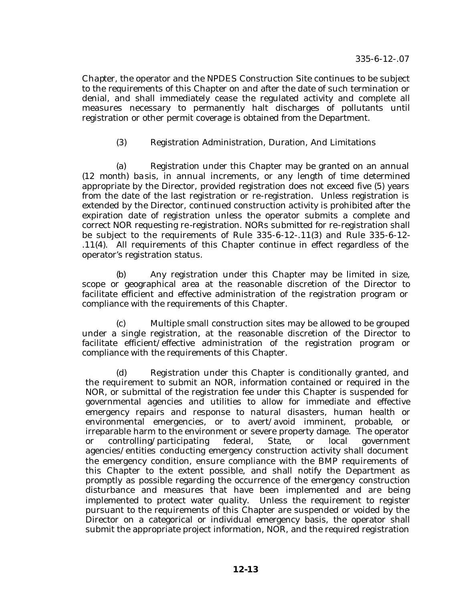Chapter, the operator and the NPDES Construction Site continues to be subject to the requirements of this Chapter on and after the date of such termination or denial, and shall immediately cease the regulated activity and complete all measures necessary to permanently halt discharges of pollutants until registration or other permit coverage is obtained from the Department.

# (3) Registration Administration, Duration, And Limitations

(a) Registration under this Chapter may be granted on an annual (12 month) basis, in annual increments, or any length of time determined appropriate by the Director, provided registration does not exceed five (5) years from the date of the last registration or re-registration. Unless registration is extended by the Director, continued construction activity is prohibited after the expiration date of registration unless the operator submits a complete and correct NOR requesting re-registration. NORs submitted for re-registration shall be subject to the requirements of Rule 335-6-12-.11(3) and Rule 335-6-12- .11(4). All requirements of this Chapter continue in effect regardless of the operator's registration status.

(b) Any registration under this Chapter may be limited in size, scope or geographical area at the reasonable discretion of the Director to facilitate efficient and effective administration of the registration program or compliance with the requirements of this Chapter.

(c) Multiple small construction sites may be allowed to be grouped under a single registration, at the reasonable discretion of the Director to facilitate efficient/effective administration of the registration program or compliance with the requirements of this Chapter.

(d) Registration under this Chapter is conditionally granted, and the requirement to submit an NOR, information contained or required in the NOR, or submittal of the registration fee under this Chapter is suspended for governmental agencies and utilities to allow for immediate and effective emergency repairs and response to natural disasters, human health or environmental emergencies, or to avert/avoid imminent, probable, or irreparable harm to the environment or severe property damage. The operator or controlling/participating federal, State, or local government agencies/entities conducting emergency construction activity shall document the emergency condition, ensure compliance with the BMP requirements of this Chapter to the extent possible, and shall notify the Department as promptly as possible regarding the occurrence of the emergency construction disturbance and measures that have been implemented and are being implemented to protect water quality. Unless the requirement to register pursuant to the requirements of this Chapter are suspended or voided by the Director on a categorical or individual emergency basis, the operator shall submit the appropriate project information, NOR, and the required registration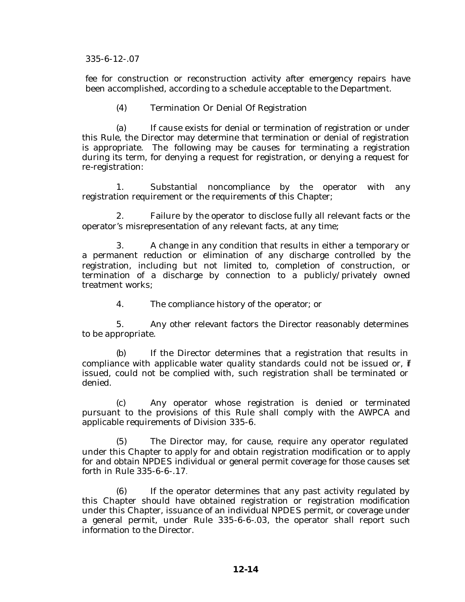fee for construction or reconstruction activity after emergency repairs have been accomplished, according to a schedule acceptable to the Department.

(4) Termination Or Denial Of Registration

(a) If cause exists for denial or termination of registration or under this Rule, the Director may determine that termination or denial of registration is appropriate. The following may be causes for terminating a registration during its term, for denying a request for registration, or denying a request for re-registration:

1. Substantial noncompliance by the operator with any registration requirement or the requirements of this Chapter;

2. Failure by the operator to disclose fully all relevant facts or the operator's misrepresentation of any relevant facts, at any time;

3. A change in any condition that results in either a temporary or a permanent reduction or elimination of any discharge controlled by the registration, including but not limited to, completion of construction, or termination of a discharge by connection to a publicly/privately owned treatment works;

4. The compliance history of the operator; or

5. Any other relevant factors the Director reasonably determines to be appropriate.

(b) If the Director determines that a registration that results in compliance with applicable water quality standards could not be issued or,  $f$ issued, could not be complied with, such registration shall be terminated or denied.

(c) Any operator whose registration is denied or terminated pursuant to the provisions of this Rule shall comply with the AWPCA and applicable requirements of Division 335-6.

(5) The Director may, for cause, require any operator regulated under this Chapter to apply for and obtain registration modification or to apply for and obtain NPDES individual or general permit coverage for those causes set forth in Rule 335-6-6-.17.

(6) If the operator determines that any past activity regulated by this Chapter should have obtained registration or registration modification under this Chapter, issuance of an individual NPDES permit, or coverage under a general permit, under Rule 335-6-6-.03, the operator shall report such information to the Director.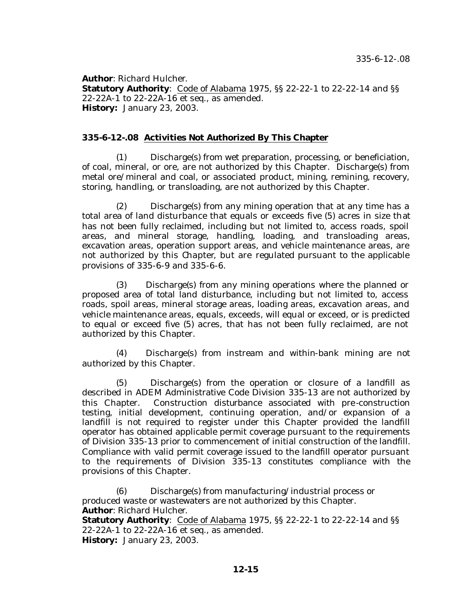**Author**: Richard Hulcher. **Statutory Authority**: Code of Alabama 1975, SS 22-22-1 to 22-22-14 and SS 22-22A-1 to 22-22A-16 et seq., as amended. **History:** January 23, 2003.

## **335-6-12-.08 Activities Not Authorized By This Chapter**

(1) Discharge(s) from wet preparation, processing, or beneficiation, of coal, mineral, or ore, are not authorized by this Chapter. Discharge(s) from metal ore/mineral and coal, or associated product, mining, remining, recovery, storing, handling, or transloading, are not authorized by this Chapter.

(2) Discharge(s) from any mining operation that at any time has a total area of land disturbance that equals or exceeds five (5) acres in size that has not been fully reclaimed, including but not limited to, access roads, spoil areas, and mineral storage, handling, loading, and transloading areas, excavation areas, operation support areas, and vehicle maintenance areas, are not authorized by this Chapter, but are regulated pursuant to the applicable provisions of 335-6-9 and 335-6-6.

(3) Discharge(s) from any mining operations where the planned or proposed area of total land disturbance, including but not limited to, access roads, spoil areas, mineral storage areas, loading areas, excavation areas, and vehicle maintenance areas, equals, exceeds, will equal or exceed, or is predicted to equal or exceed five (5) acres, that has not been fully reclaimed, are not authorized by this Chapter.

(4) Discharge(s) from instream and within-bank mining are not authorized by this Chapter.

(5) Discharge(s) from the operation or closure of a landfill as described in ADEM Administrative Code Division 335-13 are not authorized by this Chapter. Construction disturbance associated with pre-construction testing, initial development, continuing operation, and/or expansion of a landfill is not required to register under this Chapter provided the landfill operator has obtained applicable permit coverage pursuant to the requirements of Division 335-13 prior to commencement of initial construction of the landfill. Compliance with valid permit coverage issued to the landfill operator pursuant to the requirements of Division 335-13 constitutes compliance with the provisions of this Chapter.

(6) Discharge(s) from manufacturing/industrial process or produced waste or wastewaters are not authorized by this Chapter. **Author**: Richard Hulcher.

**Statutory Authority**: Code of Alabama 1975, §§ 22-22-1 to 22-22-14 and §§ 22-22A-1 to 22-22A-16 et seq., as amended. **History:** January 23, 2003.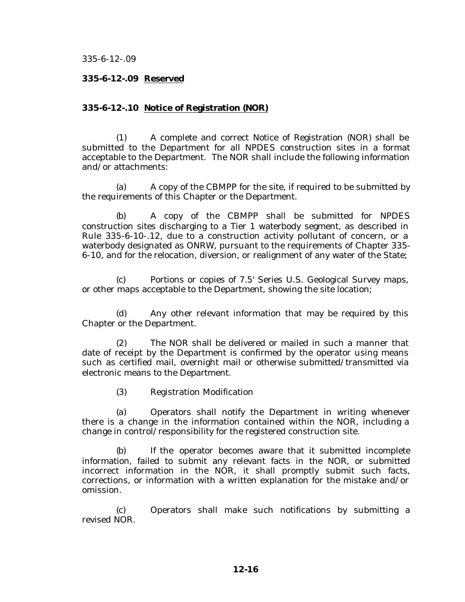#### **335-6-12-.09 Reserved**

#### **335-6-12-.10 Notice of Registration (NOR)**

(1) A complete and correct Notice of Registration (NOR) shall be submitted to the Department for all NPDES construction sites in a format acceptable to the Department. The NOR shall include the following information and/or attachments:

(a) A copy of the CBMPP for the site, if required to be submitted by the requirements of this Chapter or the Department.

(b) A copy of the CBMPP shall be submitted for NPDES construction sites discharging to a Tier 1 waterbody segment, as described in Rule 335-6-10-.12, due to a construction activity pollutant of concern, or a waterbody designated as ONRW, pursuant to the requirements of Chapter 335- 6-10, and for the relocation, diversion, or realignment of any water of the State;

(c) Portions or copies of 7.5' Series U.S. Geological Survey maps, or other maps acceptable to the Department, showing the site location;

(d) Any other relevant information that may be required by this Chapter or the Department.

(2) The NOR shall be delivered or mailed in such a manner that date of receipt by the Department is confirmed by the operator using means such as certified mail, overnight mail or otherwise submitted/transmitted via electronic means to the Department.

(3) Registration Modification

(a) Operators shall notify the Department in writing whenever there is a change in the information contained within the NOR, including a change in control/responsibility for the registered construction site.

(b) If the operator becomes aware that it submitted incomplete information, failed to submit any relevant facts in the NOR, or submitted incorrect information in the NOR, it shall promptly submit such facts, corrections, or information with a written explanation for the mistake and/or omission.

(c) Operators shall make such notifications by submitting a revised NOR.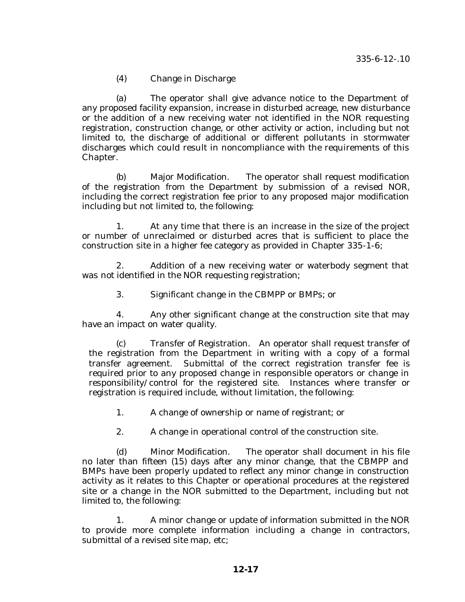(4) Change in Discharge

(a) The operator shall give advance notice to the Department of any proposed facility expansion, increase in disturbed acreage, new disturbance or the addition of a new receiving water not identified in the NOR requesting registration, construction change, or other activity or action, including but not limited to, the discharge of additional or different pollutants in stormwater discharges which could result in noncompliance with the requirements of this Chapter.

(b) Major Modification. The operator shall request modification of the registration from the Department by submission of a revised NOR, including the correct registration fee prior to any proposed major modification including but not limited to, the following:

1. At any time that there is an increase in the size of the project or number of unreclaimed or disturbed acres that is sufficient to place the construction site in a higher fee category as provided in Chapter 335-1-6;

2. Addition of a new receiving water or waterbody segment that was not identified in the NOR requesting registration;

3. Significant change in the CBMPP or BMPs; or

4. Any other significant change at the construction site that may have an impact on water quality.

(c) Transfer of Registration. An operator shall request transfer of the registration from the Department in writing with a copy of a formal transfer agreement. Submittal of the correct registration transfer fee is required prior to any proposed change in responsible operators or change in responsibility/control for the registered site. Instances where transfer or registration is required include, without limitation, the following:

1. A change of ownership or name of registrant; or

2. A change in operational control of the construction site.

(d) Minor Modification. The operator shall document in his file no later than fifteen (15) days after any minor change, that the CBMPP and BMPs have been properly updated to reflect any minor change in construction activity as it relates to this Chapter or operational procedures at the registered site or a change in the NOR submitted to the Department, including but not limited to, the following:

1. A minor change or update of information submitted in the NOR to provide more complete information including a change in contractors, submittal of a revised site map, etc;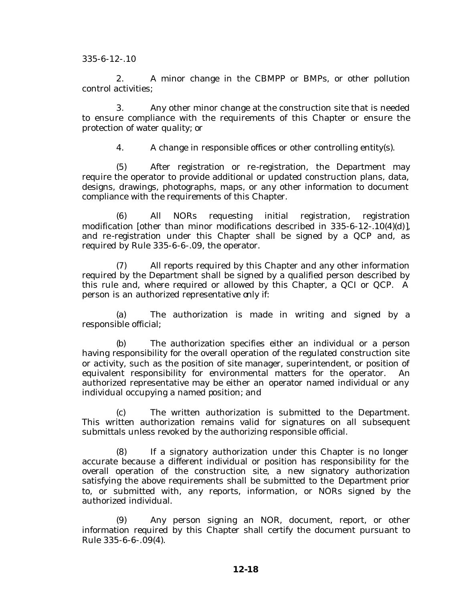2. A minor change in the CBMPP or BMPs, or other pollution control activities;

3. Any other minor change at the construction site that is needed to ensure compliance with the requirements of this Chapter or ensure the protection of water quality; or

4. A change in responsible offices or other controlling entity(s).

(5) After registration or re-registration, the Department may require the operator to provide additional or updated construction plans, data, designs, drawings, photographs, maps, or any other information to document compliance with the requirements of this Chapter.

(6) All NORs requesting initial registration, registration modification [other than minor modifications described in 335-6-12-.10(4)(d)], and re-registration under this Chapter shall be signed by a QCP and, as required by Rule 335-6-6-.09, the operator.

(7) All reports required by this Chapter and any other information required by the Department shall be signed by a qualified person described by this rule and, where required or allowed by this Chapter, a QCI or QCP. A person is an authorized representative only if:

(a) The authorization is made in writing and signed by a responsible official;

(b) The authorization specifies either an individual or a person having responsibility for the overall operation of the regulated construction site or activity, such as the position of site manager, superintendent, or position of equivalent responsibility for environmental matters for the operator. An authorized representative may be either an operator named individual or any individual occupying a named position; and

(c) The written authorization is submitted to the Department. This written authorization remains valid for signatures on all subsequent submittals unless revoked by the authorizing responsible official.

(8) If a signatory authorization under this Chapter is no longer accurate because a different individual or position has responsibility for the overall operation of the construction site, a new signatory authorization satisfying the above requirements shall be submitted to the Department prior to, or submitted with, any reports, information, or NORs signed by the authorized individual.

(9) Any person signing an NOR, document, report, or other information required by this Chapter shall certify the document pursuant to Rule 335-6-6-.09(4).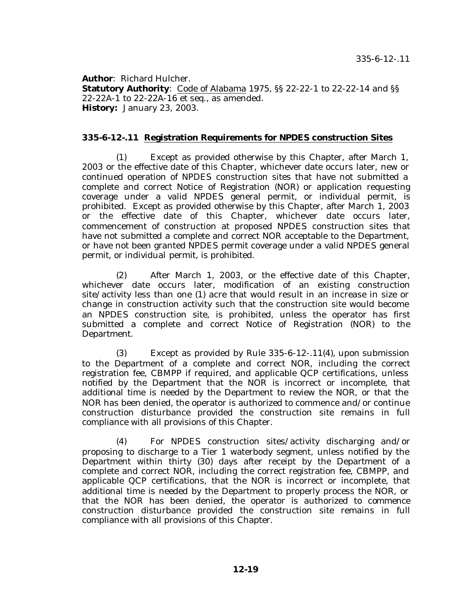**Author**: Richard Hulcher. **Statutory Authority**: Code of Alabama 1975, SS 22-22-1 to 22-22-14 and SS 22-22A-1 to 22-22A-16 et seq., as amended. **History:** January 23, 2003.

#### **335-6-12-.11 Registration Requirements for NPDES construction Sites**

(1) Except as provided otherwise by this Chapter, after March 1, 2003 or the effective date of this Chapter, whichever date occurs later, new or continued operation of NPDES construction sites that have not submitted a complete and correct Notice of Registration (NOR) or application requesting coverage under a valid NPDES general permit, or individual permit, is prohibited. Except as provided otherwise by this Chapter, after March 1, 2003 or the effective date of this Chapter, whichever date occurs later, commencement of construction at proposed NPDES construction sites that have not submitted a complete and correct NOR acceptable to the Department, or have not been granted NPDES permit coverage under a valid NPDES general permit, or individual permit, is prohibited.

(2) After March 1, 2003, or the effective date of this Chapter, whichever date occurs later, modification of an existing construction site/activity less than one (1) acre that would result in an increase in size or change in construction activity such that the construction site would become an NPDES construction site, is prohibited, unless the operator has first submitted a complete and correct Notice of Registration (NOR) to the Department.

(3) Except as provided by Rule 335-6-12-.11(4), upon submission to the Department of a complete and correct NOR, including the correct registration fee, CBMPP if required, and applicable QCP certifications, unless notified by the Department that the NOR is incorrect or incomplete, that additional time is needed by the Department to review the NOR, or that the NOR has been denied, the operator is authorized to commence and/or continue construction disturbance provided the construction site remains in full compliance with all provisions of this Chapter.

(4) For NPDES construction sites/activity discharging and/or proposing to discharge to a Tier 1 waterbody segment, unless notified by the Department within thirty (30) days after receipt by the Department of a complete and correct NOR, including the correct registration fee, CBMPP, and applicable QCP certifications, that the NOR is incorrect or incomplete, that additional time is needed by the Department to properly process the NOR, or that the NOR has been denied, the operator is authorized to commence construction disturbance provided the construction site remains in full compliance with all provisions of this Chapter.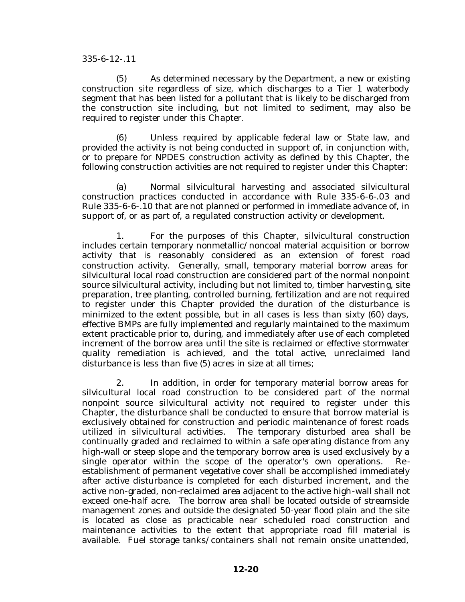(5) As determined necessary by the Department, a new or existing construction site regardless of size, which discharges to a Tier 1 waterbody segment that has been listed for a pollutant that is likely to be discharged from the construction site including, but not limited to sediment, may also be required to register under this Chapter.

(6) Unless required by applicable federal law or State law, and provided the activity is not being conducted in support of, in conjunction with, or to prepare for NPDES construction activity as defined by this Chapter, the following construction activities are not required to register under this Chapter:

(a) Normal silvicultural harvesting and associated silvicultural construction practices conducted in accordance with Rule 335-6-6-.03 and Rule 335-6-6-.10 that are not planned or performed in immediate advance of, in support of, or as part of, a regulated construction activity or development.

1. For the purposes of this Chapter, silvicultural construction includes certain temporary nonmetallic/noncoal material acquisition or borrow activity that is reasonably considered as an extension of forest road construction activity. Generally, small, temporary material borrow areas for silvicultural local road construction are considered part of the normal nonpoint source silvicultural activity, including but not limited to, timber harvesting, site preparation, tree planting, controlled burning, fertilization and are not required to register under this Chapter provided the duration of the disturbance is minimized to the extent possible, but in all cases is less than sixty (60) days, effective BMPs are fully implemented and regularly maintained to the maximum extent practicable prior to, during, and immediately after use of each completed increment of the borrow area until the site is reclaimed or effective stormwater quality remediation is achieved, and the total active, unreclaimed land disturbance is less than five (5) acres in size at all times;

2. In addition, in order for temporary material borrow areas for silvicultural local road construction to be considered part of the normal nonpoint source silvicultural activity not required to register under this Chapter, the disturbance shall be conducted to ensure that borrow material is exclusively obtained for construction and periodic maintenance of forest roads utilized in silvicultural activities. The temporary disturbed area shall be continually graded and reclaimed to within a safe operating distance from any high-wall or steep slope and the temporary borrow area is used exclusively by a single operator within the scope of the operator's own operations. Reestablishment of permanent vegetative cover shall be accomplished immediately after active disturbance is completed for each disturbed increment, and the active non-graded, non-reclaimed area adjacent to the active high-wall shall not exceed one-half acre. The borrow area shall be located outside of streamside management zones and outside the designated 50-year flood plain and the site is located as close as practicable near scheduled road construction and maintenance activities to the extent that appropriate road fill material is available. Fuel storage tanks/containers shall not remain onsite unattended,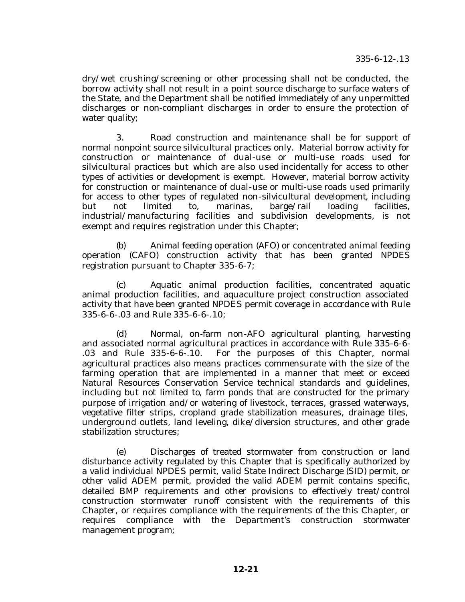dry/wet crushing/screening or other processing shall not be conducted, the borrow activity shall not result in a point source discharge to surface waters of the State, and the Department shall be notified immediately of any unpermitted discharges or non-compliant discharges in order to ensure the protection of water quality;

3. Road construction and maintenance shall be for support of normal nonpoint source silvicultural practices only. Material borrow activity for construction or maintenance of dual-use or multi-use roads used for silvicultural practices but which are also used incidentally for access to other types of activities or development is exempt. However, material borrow activity for construction or maintenance of dual-use or multi-use roads used primarily for access to other types of regulated non-silvicultural development, including but not limited to, marinas, barge/rail loading facilities, industrial/manufacturing facilities and subdivision developments, is not exempt and requires registration under this Chapter;

(b) Animal feeding operation (AFO) or concentrated animal feeding operation (CAFO) construction activity that has been granted NPDES registration pursuant to Chapter 335-6-7;

(c) Aquatic animal production facilities, concentrated aquatic animal production facilities, and aquaculture project construction associated activity that have been granted NPDES permit coverage in accordance with Rule 335-6-6-.03 and Rule 335-6-6-.10;

(d) Normal, on-farm non-AFO agricultural planting, harvesting and associated normal agricultural practices in accordance with Rule 335-6-6- .03 and Rule 335-6-6-.10. For the purposes of this Chapter, normal agricultural practices also means practices commensurate with the size of the farming operation that are implemented in a manner that meet or exceed Natural Resources Conservation Service technical standards and guidelines, including but not limited to, farm ponds that are constructed for the primary purpose of irrigation and/or watering of livestock, terraces, grassed waterways, vegetative filter strips, cropland grade stabilization measures, drainage tiles, underground outlets, land leveling, dike/diversion structures, and other grade stabilization structures;

(e) Discharges of treated stormwater from construction or land disturbance activity regulated by this Chapter that is specifically authorized by a valid individual NPDES permit, valid State Indirect Discharge (SID) permit, or other valid ADEM permit, provided the valid ADEM permit contains specific, detailed BMP requirements and other provisions to effectively treat/control construction stormwater runoff consistent with the requirements of this Chapter, or requires compliance with the requirements of the this Chapter, or requires compliance with the Department's construction stormwater management program;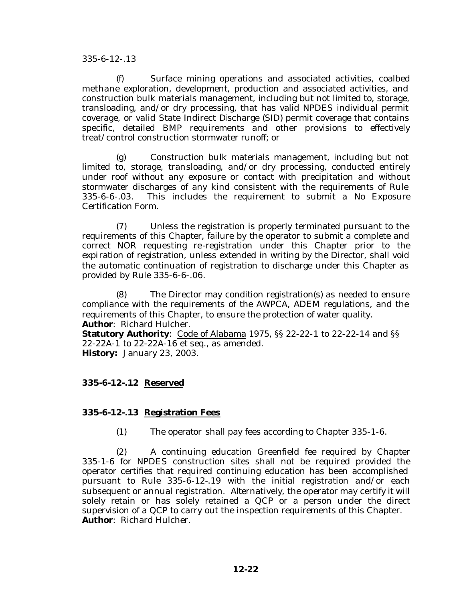(f) Surface mining operations and associated activities, coalbed methane exploration, development, production and associated activities, and construction bulk materials management, including but not limited to, storage, transloading, and/or dry processing, that has valid NPDES individual permit coverage, or valid State Indirect Discharge (SID) permit coverage that contains specific, detailed BMP requirements and other provisions to effectively treat/control construction stormwater runoff; or

Construction bulk materials management, including but not limited to, storage, transloading, and/or dry processing, conducted entirely under roof without any exposure or contact with precipitation and without stormwater discharges of any kind consistent with the requirements of Rule 335-6-6-.03. This includes the requirement to submit a No Exposure Certification Form.

(7) Unless the registration is properly terminated pursuant to the requirements of this Chapter, failure by the operator to submit a complete and correct NOR requesting re-registration under this Chapter prior to the expiration of registration, unless extended in writing by the Director, shall void the automatic continuation of registration to discharge under this Chapter as provided by Rule 335-6-6-.06.

(8) The Director may condition registration(s) as needed to ensure compliance with the requirements of the AWPCA, ADEM regulations, and the requirements of this Chapter, to ensure the protection of water quality. **Author**: Richard Hulcher.

**Statutory Authority**: Code of Alabama 1975, §§ 22-22-1 to 22-22-14 and §§ 22-22A-1 to 22-22A-16 et seq., as amended. **History:** January 23, 2003.

# **335-6-12-.12 Reserved**

## **335-6-12-.13 Registration Fees**

(1) The operator shall pay fees according to Chapter 335-1-6.

(2) A continuing education Greenfield fee required by Chapter 335-1-6 for NPDES construction sites shall not be required provided the operator certifies that required continuing education has been accomplished pursuant to Rule 335-6-12-.19 with the initial registration and/or each subsequent or annual registration. Alternatively, the operator may certify it will solely retain or has solely retained a QCP or a person under the direct supervision of a QCP to carry out the inspection requirements of this Chapter. **Author**: Richard Hulcher.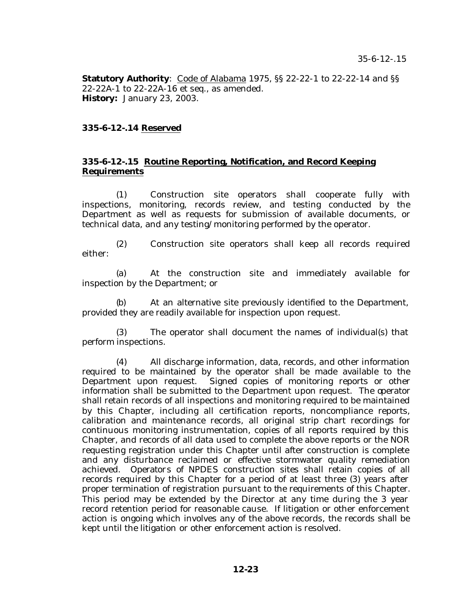**Statutory Authority**: Code of Alabama 1975, §§ 22-22-1 to 22-22-14 and §§ 22-22A-1 to 22-22A-16 et seq., as amended. **History:** January 23, 2003.

# **335-6-12-.14 Reserved**

## **335-6-12-.15 Routine Reporting, Notification, and Record Keeping Requirements**

(1) Construction site operators shall cooperate fully with inspections, monitoring, records review, and testing conducted by the Department as well as requests for submission of available documents, or technical data, and any testing/monitoring performed by the operator.

(2) Construction site operators shall keep all records required either:

(a) At the construction site and immediately available for inspection by the Department; or

(b) At an alternative site previously identified to the Department, provided they are readily available for inspection upon request.

(3) The operator shall document the names of individual(s) that perform inspections.

(4) All discharge information, data, records, and other information required to be maintained by the operator shall be made available to the Department upon request. Signed copies of monitoring reports or other information shall be submitted to the Department upon request. The operator shall retain records of all inspections and monitoring required to be maintained by this Chapter, including all certification reports, noncompliance reports, calibration and maintenance records, all original strip chart recordings for continuous monitoring instrumentation, copies of all reports required by this Chapter, and records of all data used to complete the above reports or the NOR requesting registration under this Chapter until after construction is complete and any disturbance reclaimed or effective stormwater quality remediation achieved. Operators of NPDES construction sites shall retain copies of all records required by this Chapter for a period of at least three (3) years after proper termination of registration pursuant to the requirements of this Chapter. This period may be extended by the Director at any time during the 3 year record retention period for reasonable cause. If litigation or other enforcement action is ongoing which involves any of the above records, the records shall be kept until the litigation or other enforcement action is resolved.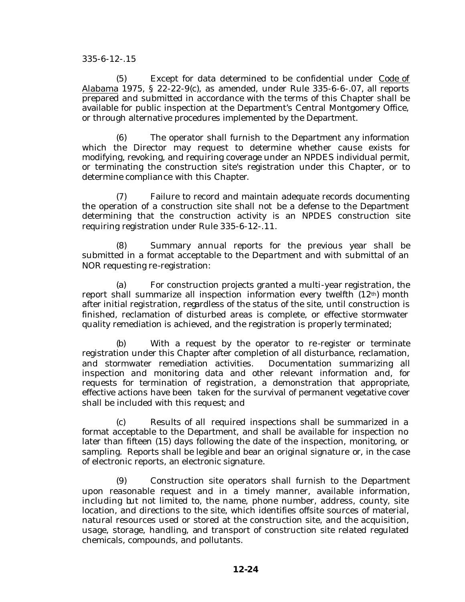(5) Except for data determined to be confidential under Code of Alabama 1975, § 22-22-9(c), as amended, under Rule 335-6-6-.07, all reports prepared and submitted in accordance with the terms of this Chapter shall be available for public inspection at the Department's Central Montgomery Office, or through alternative procedures implemented by the Department.

(6) The operator shall furnish to the Department any information which the Director may request to determine whether cause exists for modifying, revoking, and requiring coverage under an NPDES individual permit, or terminating the construction site's registration under this Chapter, or to determine compliance with this Chapter.

(7) Failure to record and maintain adequate records documenting the operation of a construction site shall not be a defense to the Department determining that the construction activity is an NPDES construction site requiring registration under Rule 335-6-12-.11.

(8) Summary annual reports for the previous year shall be submitted in a format acceptable to the Department and with submittal of an NOR requesting re-registration:

(a) For construction projects granted a multi-year registration, the report shall summarize all inspection information every twelfth  $(12<sup>th</sup>)$  month after initial registration, regardless of the status of the site, until construction is finished, reclamation of disturbed areas is complete, or effective stormwater quality remediation is achieved, and the registration is properly terminated;

(b) With a request by the operator to re-register or terminate registration under this Chapter after completion of all disturbance, reclamation, and stormwater remediation activities. Documentation summarizing all inspection and monitoring data and other relevant information and, for requests for termination of registration, a demonstration that appropriate, effective actions have been taken for the survival of permanent vegetative cover shall be included with this request; and

(c) Results of all required inspections shall be summarized in a format acceptable to the Department, and shall be available for inspection no later than fifteen (15) days following the date of the inspection, monitoring, or sampling. Reports shall be legible and bear an original signature or, in the case of electronic reports, an electronic signature.

(9) Construction site operators shall furnish to the Department upon reasonable request and in a timely manner, available information, including but not limited to, the name, phone number, address, county, site location, and directions to the site, which identifies offsite sources of material, natural resources used or stored at the construction site, and the acquisition, usage, storage, handling, and transport of construction site related regulated chemicals, compounds, and pollutants.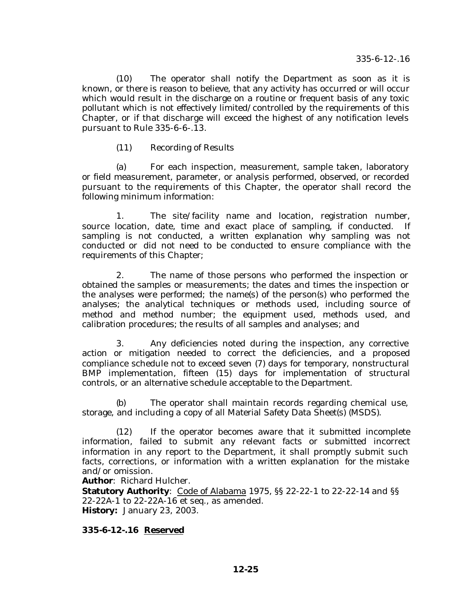(10) The operator shall notify the Department as soon as it is known, or there is reason to believe, that any activity has occurred or will occur which would result in the discharge on a routine or frequent basis of any toxic pollutant which is not effectively limited/controlled by the requirements of this Chapter, or if that discharge will exceed the highest of any notification levels pursuant to Rule 335-6-6-.13.

(11) Recording of Results

(a) For each inspection, measurement, sample taken, laboratory or field measurement, parameter, or analysis performed, observed, or recorded pursuant to the requirements of this Chapter, the operator shall record the following minimum information:

1. The site/facility name and location, registration number, source location, date, time and exact place of sampling, if conducted. If sampling is not conducted, a written explanation why sampling was not conducted or did not need to be conducted to ensure compliance with the requirements of this Chapter;

2. The name of those persons who performed the inspection or obtained the samples or measurements; the dates and times the inspection or the analyses were performed; the name(s) of the person(s) who performed the analyses; the analytical techniques or methods used, including source of method and method number; the equipment used, methods used, and calibration procedures; the results of all samples and analyses; and

3. Any deficiencies noted during the inspection, any corrective action or mitigation needed to correct the deficiencies, and a proposed compliance schedule not to exceed seven (7) days for temporary, nonstructural BMP implementation, fifteen (15) days for implementation of structural controls, or an alternative schedule acceptable to the Department.

(b) The operator shall maintain records regarding chemical use, storage, and including a copy of all Material Safety Data Sheet(s) (MSDS).

(12) If the operator becomes aware that it submitted incomplete information, failed to submit any relevant facts or submitted incorrect information in any report to the Department, it shall promptly submit such facts, corrections, or information with a written explanation for the mistake and/or omission.

**Author**: Richard Hulcher.

**Statutory Authority**: Code of Alabama 1975, SS 22-22-1 to 22-22-14 and SS 22-22A-1 to 22-22A-16 et seq., as amended. **History:** January 23, 2003.

**335-6-12-.16 Reserved**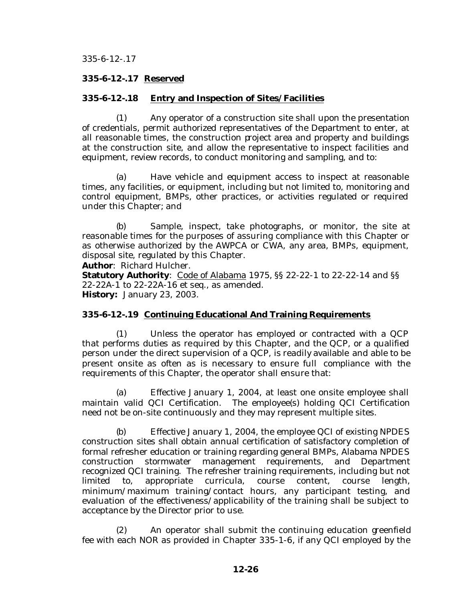### **335-6-12-.17 Reserved**

#### **335-6-12-.18 Entry and Inspection of Sites/Facilities**

(1) Any operator of a construction site shall upon the presentation of credentials, permit authorized representatives of the Department to enter, at all reasonable times, the construction project area and property and buildings at the construction site, and allow the representative to inspect facilities and equipment, review records, to conduct monitoring and sampling, and to:

(a) Have vehicle and equipment access to inspect at reasonable times, any facilities, or equipment, including but not limited to, monitoring and control equipment, BMPs, other practices, or activities regulated or required under this Chapter; and

(b) Sample, inspect, take photographs, or monitor, the site at reasonable times for the purposes of assuring compliance with this Chapter or as otherwise authorized by the AWPCA or CWA, any area, BMPs, equipment, disposal site, regulated by this Chapter.

**Author**: Richard Hulcher.

**Statutory Authority**: Code of Alabama 1975, §§ 22-22-1 to 22-22-14 and §§ 22-22A-1 to 22-22A-16 et seq., as amended. **History:** January 23, 2003.

#### **335-6-12-.19 Continuing Educational And Training Requirements**

(1) Unless the operator has employed or contracted with a QCP that performs duties as required by this Chapter, and the QCP, or a qualified person under the direct supervision of a QCP, is readily available and able to be present onsite as often as is necessary to ensure full compliance with the requirements of this Chapter, the operator shall ensure that:

(a) Effective January 1, 2004, at least one onsite employee shall maintain valid QCI Certification. The employee(s) holding QCI Certification need not be on-site continuously and they may represent multiple sites.

(b) Effective January 1, 2004, the employee QCI of existing NPDES construction sites shall obtain annual certification of satisfactory completion of formal refresher education or training regarding general BMPs, Alabama NPDES construction stormwater management requirements, and Department recognized QCI training. The refresher training requirements, including but not limited to, appropriate curricula, course content, course length, minimum/maximum training/contact hours, any participant testing, and evaluation of the effectiveness/applicability of the training shall be subject to acceptance by the Director prior to use.

(2) An operator shall submit the continuing education greenfield fee with each NOR as provided in Chapter 335-1-6, if any QCI employed by the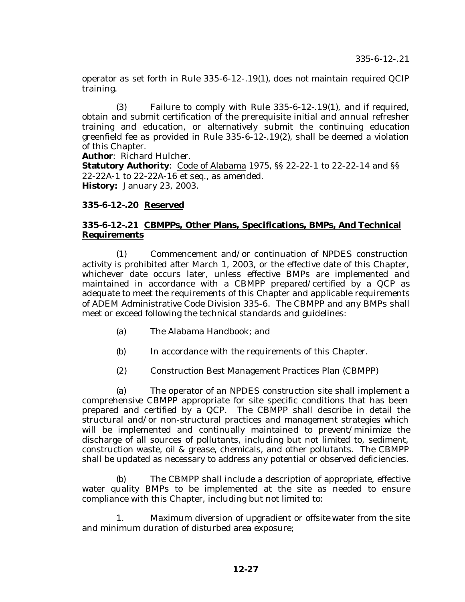operator as set forth in Rule 335-6-12-.19(1), does not maintain required QCIP training.

(3) Failure to comply with Rule 335-6-12-.19(1), and if required, obtain and submit certification of the prerequisite initial and annual refresher training and education, or alternatively submit the continuing education greenfield fee as provided in Rule 335-6-12-.19(2), shall be deemed a violation of this Chapter.

**Author**: Richard Hulcher.

**Statutory Authority**: Code of Alabama 1975, §§ 22-22-1 to 22-22-14 and §§ 22-22A-1 to 22-22A-16 et seq., as amended. **History:** January 23, 2003.

## **335-6-12-.20 Reserved**

# **335-6-12-.21 CBMPPs, Other Plans, Specifications, BMPs, And Technical Requirements**

(1) Commencement and/or continuation of NPDES construction activity is prohibited after March 1, 2003, or the effective date of this Chapter, whichever date occurs later, unless effective BMPs are implemented and maintained in accordance with a CBMPP prepared/certified by a QCP as adequate to meet the requirements of this Chapter and applicable requirements of ADEM Administrative Code Division 335-6. The CBMPP and any BMPs shall meet or exceed following the technical standards and guidelines:

- (a) The Alabama Handbook; and
- (b) In accordance with the requirements of this Chapter.
- (2) Construction Best Management Practices Plan (CBMPP)

(a) The operator of an NPDES construction site shall implement a comprehensive CBMPP appropriate for site specific conditions that has been prepared and certified by a QCP. The CBMPP shall describe in detail the structural and/or non-structural practices and management strategies which will be implemented and continually maintained to prevent/minimize the discharge of all sources of pollutants, including but not limited to, sediment, construction waste, oil & grease, chemicals, and other pollutants. The CBMPP shall be updated as necessary to address any potential or observed deficiencies.

(b) The CBMPP shall include a description of appropriate, effective water quality BMPs to be implemented at the site as needed to ensure compliance with this Chapter, including but not limited to:

1. Maximum diversion of upgradient or offsite water from the site and minimum duration of disturbed area exposure;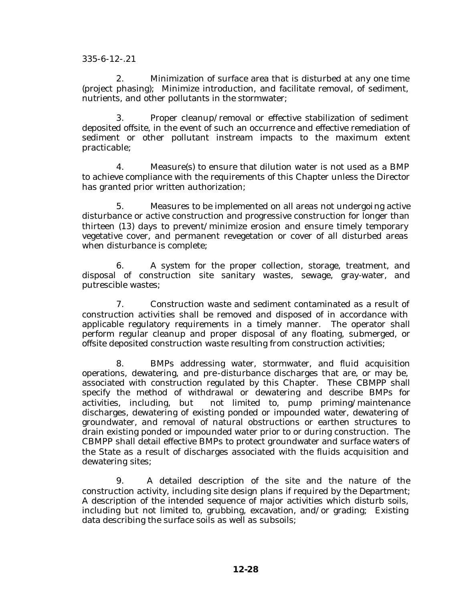2. Minimization of surface area that is disturbed at any one time (project phasing); Minimize introduction, and facilitate removal, of sediment, nutrients, and other pollutants in the stormwater;

3. Proper cleanup/removal or effective stabilization of sediment deposited offsite, in the event of such an occurrence and effective remediation of sediment or other pollutant instream impacts to the maximum extent practicable;

4. Measure(s) to ensure that dilution water is not used as a BMP to achieve compliance with the requirements of this Chapter unless the Director has granted prior written authorization;

5. Measures to be implemented on all areas not undergoing active disturbance or active construction and progressive construction for longer than thirteen (13) days to prevent/minimize erosion and ensure timely temporary vegetative cover, and permanent revegetation or cover of all disturbed areas when disturbance is complete;

6. A system for the proper collection, storage, treatment, and disposal of construction site sanitary wastes, sewage, gray-water, and putrescible wastes;

7. Construction waste and sediment contaminated as a result of construction activities shall be removed and disposed of in accordance with applicable regulatory requirements in a timely manner. The operator shall perform regular cleanup and proper disposal of any floating, submerged, or offsite deposited construction waste resulting from construction activities;

8. BMPs addressing water, stormwater, and fluid acquisition operations, dewatering, and pre-disturbance discharges that are, or may be, associated with construction regulated by this Chapter. These CBMPP shall specify the method of withdrawal or dewatering and describe BMPs for activities, including, but not limited to, pump priming/maintenance discharges, dewatering of existing ponded or impounded water, dewatering of groundwater, and removal of natural obstructions or earthen structures to drain existing ponded or impounded water prior to or during construction. The CBMPP shall detail effective BMPs to protect groundwater and surface waters of the State as a result of discharges associated with the fluids acquisition and dewatering sites;

9. A detailed description of the site and the nature of the construction activity, including site design plans if required by the Department; A description of the intended sequence of major activities which disturb soils, including but not limited to, grubbing, excavation, and/or grading; Existing data describing the surface soils as well as subsoils;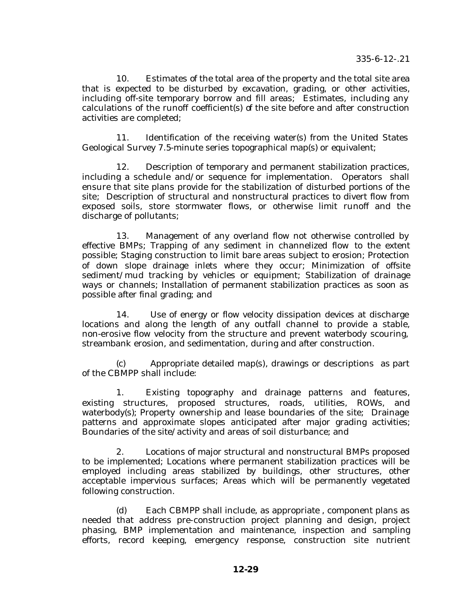10. Estimates of the total area of the property and the total site area that is expected to be disturbed by excavation, grading, or other activities, including off-site temporary borrow and fill areas; Estimates, including any calculations of the runoff coefficient(s) of the site before and after construction activities are completed;

11. Identification of the receiving water(s) from the United States Geological Survey 7.5-minute series topographical map(s) or equivalent;

12. Description of temporary and permanent stabilization practices, including a schedule and/or sequence for implementation. Operators shall ensure that site plans provide for the stabilization of disturbed portions of the site; Description of structural and nonstructural practices to divert flow from exposed soils, store stormwater flows, or otherwise limit runoff and the discharge of pollutants;

13. Management of any overland flow not otherwise controlled by effective BMPs; Trapping of any sediment in channelized flow to the extent possible; Staging construction to limit bare areas subject to erosion; Protection of down slope drainage inlets where they occur; Minimization of offsite sediment/mud tracking by vehicles or equipment; Stabilization of drainage ways or channels; Installation of permanent stabilization practices as soon as possible after final grading; and

14. Use of energy or flow velocity dissipation devices at discharge locations and along the length of any outfall channel to provide a stable, non-erosive flow velocity from the structure and prevent waterbody scouring, streambank erosion, and sedimentation, during and after construction.

(c) Appropriate detailed map(s), drawings or descriptions as part of the CBMPP shall include:

1. Existing topography and drainage patterns and features, existing structures, proposed structures, roads, utilities, ROWs, and waterbody(s); Property ownership and lease boundaries of the site; Drainage patterns and approximate slopes anticipated after major grading activities; Boundaries of the site/activity and areas of soil disturbance; and

2. Locations of major structural and nonstructural BMPs proposed to be implemented; Locations where permanent stabilization practices will be employed including areas stabilized by buildings, other structures, other acceptable impervious surfaces; Areas which will be permanently vegetated following construction.

(d) Each CBMPP shall include, as appropriate , component plans as needed that address pre-construction project planning and design, project phasing, BMP implementation and maintenance, inspection and sampling efforts, record keeping, emergency response, construction site nutrient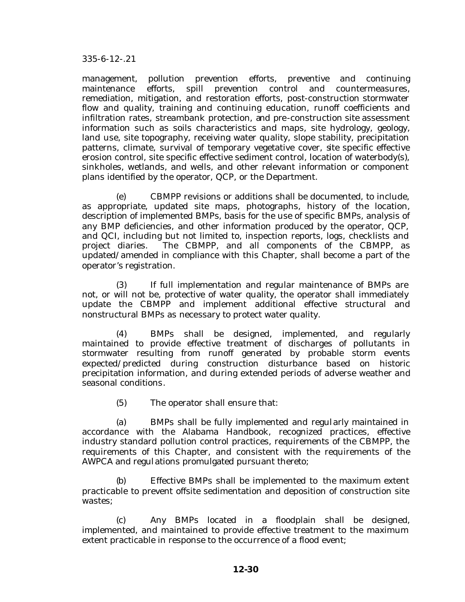management, pollution prevention efforts, preventive and continuing maintenance efforts, spill prevention control and countermeasures, remediation, mitigation, and restoration efforts, post-construction stormwater flow and quality, training and continuing education, runoff coefficients and infiltration rates, streambank protection, and pre-construction site assessment information such as soils characteristics and maps, site hydrology, geology, land use, site topography, receiving water quality, slope stability, precipitation patterns, climate, survival of temporary vegetative cover, site specific effective erosion control, site specific effective sediment control, location of waterbody(s), sinkholes, wetlands, and wells, and other relevant information or component plans identified by the operator, QCP, or the Department.

(e) CBMPP revisions or additions shall be documented, to include, as appropriate, updated site maps, photographs, history of the location, description of implemented BMPs, basis for the use of specific BMPs, analysis of any BMP deficiencies, and other information produced by the operator, QCP, and QCI, including but not limited to, inspection reports, logs, checklists and project diaries. The CBMPP, and all components of the CBMPP, as updated/amended in compliance with this Chapter, shall become a part of the operator's registration.

(3) If full implementation and regular maintenance of BMPs are not, or will not be, protective of water quality, the operator shall immediately update the CBMPP and implement additional effective structural and nonstructural BMPs as necessary to protect water quality.

(4) BMPs shall be designed, implemented, and regularly maintained to provide effective treatment of discharges of pollutants in stormwater resulting from runoff generated by probable storm events expected/predicted during construction disturbance based on historic precipitation information, and during extended periods of adverse weather and seasonal conditions.

(5) The operator shall ensure that:

(a) BMPs shall be fully implemented and regularly maintained in accordance with the Alabama Handbook, recognized practices, effective industry standard pollution control practices, requirements of the CBMPP, the requirements of this Chapter, and consistent with the requirements of the AWPCA and regulations promulgated pursuant thereto;

(b) Effective BMPs shall be implemented to the maximum extent practicable to prevent offsite sedimentation and deposition of construction site wastes;

(c) Any BMPs located in a floodplain shall be designed, implemented, and maintained to provide effective treatment to the maximum extent practicable in response to the occurrence of a flood event;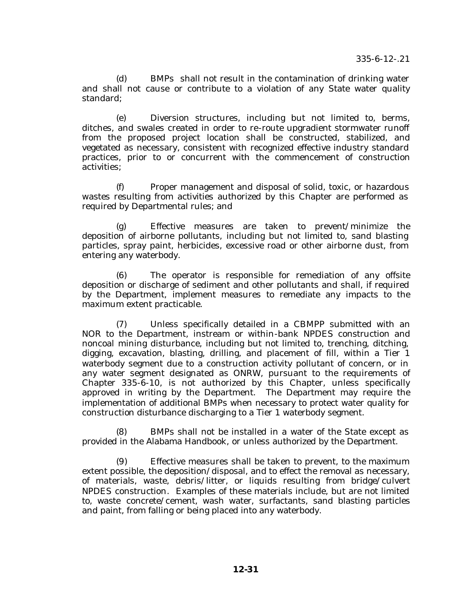(d) BMPs shall not result in the contamination of drinking water and shall not cause or contribute to a violation of any State water quality standard;

(e) Diversion structures, including but not limited to, berms, ditches, and swales created in order to re-route upgradient stormwater runoff from the proposed project location shall be constructed, stabilized, and vegetated as necessary, consistent with recognized effective industry standard practices, prior to or concurrent with the commencement of construction activities;

(f) Proper management and disposal of solid, toxic, or hazardous wastes resulting from activities authorized by this Chapter are performed as required by Departmental rules; and

(g) Effective measures are taken to prevent/minimize the deposition of airborne pollutants, including but not limited to, sand blasting particles, spray paint, herbicides, excessive road or other airborne dust, from entering any waterbody.

(6) The operator is responsible for remediation of any offsite deposition or discharge of sediment and other pollutants and shall, if required by the Department, implement measures to remediate any impacts to the maximum extent practicable.

(7) Unless specifically detailed in a CBMPP submitted with an NOR to the Department, instream or within-bank NPDES construction and noncoal mining disturbance, including but not limited to, trenching, ditching, digging, excavation, blasting, drilling, and placement of fill, within a Tier 1 waterbody segment due to a construction activity pollutant of concern, or in any water segment designated as ONRW, pursuant to the requirements of Chapter 335-6-10, is not authorized by this Chapter, unless specifically approved in writing by the Department. The Department may require the implementation of additional BMPs when necessary to protect water quality for construction disturbance discharging to a Tier 1 waterbody segment.

(8) BMPs shall not be installed in a water of the State except as provided in the Alabama Handbook, or unless authorized by the Department.

(9) Effective measures shall be taken to prevent, to the maximum extent possible, the deposition/disposal, and to effect the removal as necessary, of materials, waste, debris/litter, or liquids resulting from bridge/culvert NPDES construction. Examples of these materials include, but are not limited to, waste concrete/cement, wash water, surfactants, sand blasting particles and paint, from falling or being placed into any waterbody.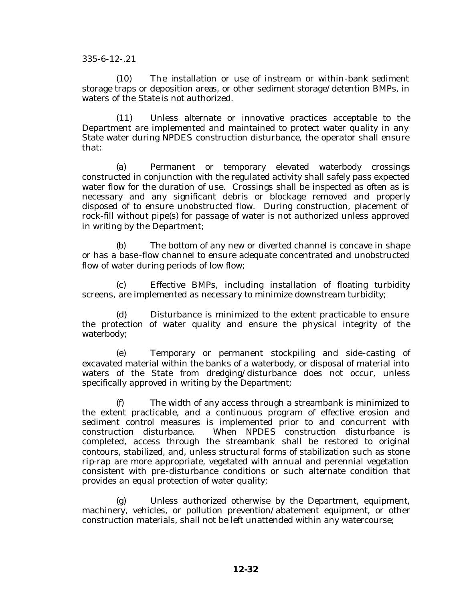(10) The installation or use of instream or within-bank sediment storage traps or deposition areas, or other sediment storage/detention BMPs, in waters of the State is not authorized.

(11) Unless alternate or innovative practices acceptable to the Department are implemented and maintained to protect water quality in any State water during NPDES construction disturbance, the operator shall ensure that:

(a) Permanent or temporary elevated waterbody crossings constructed in conjunction with the regulated activity shall safely pass expected water flow for the duration of use. Crossings shall be inspected as often as is necessary and any significant debris or blockage removed and properly disposed of to ensure unobstructed flow. During construction, placement of rock-fill without pipe(s) for passage of water is not authorized unless approved in writing by the Department;

(b) The bottom of any new or diverted channel is concave in shape or has a base-flow channel to ensure adequate concentrated and unobstructed flow of water during periods of low flow;

(c) Effective BMPs, including installation of floating turbidity screens, are implemented as necessary to minimize downstream turbidity;

(d) Disturbance is minimized to the extent practicable to ensure the protection of water quality and ensure the physical integrity of the waterbody;

(e) Temporary or permanent stockpiling and side-casting of excavated material within the banks of a waterbody, or disposal of material into waters of the State from dredging/disturbance does not occur, unless specifically approved in writing by the Department;

(f) The width of any access through a streambank is minimized to the extent practicable, and a continuous program of effective erosion and sediment control measures is implemented prior to and concurrent with construction disturbance. When NPDES construction disturbance is completed, access through the streambank shall be restored to original contours, stabilized, and, unless structural forms of stabilization such as stone rip-rap are more appropriate, vegetated with annual and perennial vegetation consistent with pre-disturbance conditions or such alternate condition that provides an equal protection of water quality;

(g) Unless authorized otherwise by the Department, equipment, machinery, vehicles, or pollution prevention/abatement equipment, or other construction materials, shall not be left unattended within any watercourse;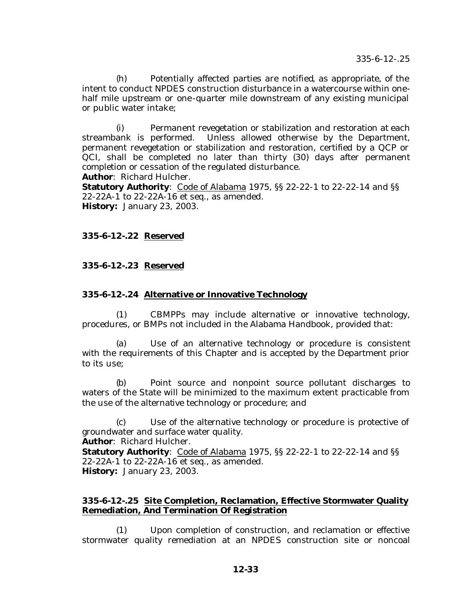(h) Potentially affected parties are notified, as appropriate, of the intent to conduct NPDES construction disturbance in a watercourse within onehalf mile upstream or one-quarter mile downstream of any existing municipal or public water intake;

(i) Permanent revegetation or stabilization and restoration at each streambank is performed. Unless allowed otherwise by the Department, permanent revegetation or stabilization and restoration, certified by a QCP or QCI, shall be completed no later than thirty (30) days after permanent completion or cessation of the regulated disturbance.

**Author**: Richard Hulcher.

**Statutory Authority**: Code of Alabama 1975, §§ 22-22-1 to 22-22-14 and §§ 22-22A-1 to 22-22A-16 et seq., as amended. **History:** January 23, 2003.

# **335-6-12-.22 Reserved**

#### **335-6-12-.23 Reserved**

#### **335-6-12-.24 Alternative or Innovative Technology**

(1) CBMPPs may include alternative or innovative technology, procedures, or BMPs not included in the Alabama Handbook, provided that:

(a) Use of an alternative technology or procedure is consistent with the requirements of this Chapter and is accepted by the Department prior to its use;

(b) Point source and nonpoint source pollutant discharges to waters of the State will be minimized to the maximum extent practicable from the use of the alternative technology or procedure; and

(c) Use of the alternative technology or procedure is protective of groundwater and surface water quality.

**Author**: Richard Hulcher.

**Statutory Authority**: Code of Alabama 1975, SS 22-22-1 to 22-22-14 and SS 22-22A-1 to 22-22A-16 et seq., as amended. **History:** January 23, 2003.

#### **335-6-12-.25 Site Completion, Reclamation, Effective Stormwater Quality Remediation, And Termination Of Registration**

(1) Upon completion of construction, and reclamation or effective stormwater quality remediation at an NPDES construction site or noncoal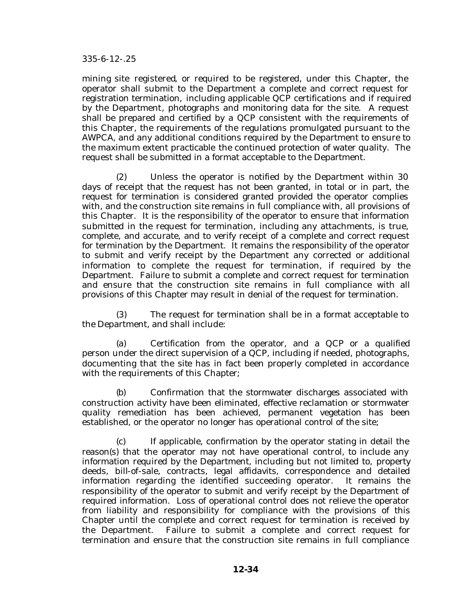mining site registered, or required to be registered, under this Chapter, the operator shall submit to the Department a complete and correct request for registration termination, including applicable QCP certifications and if required by the Department, photographs and monitoring data for the site. A request shall be prepared and certified by a QCP consistent with the requirements of this Chapter, the requirements of the regulations promulgated pursuant to the AWPCA, and any additional conditions required by the Department to ensure to the maximum extent practicable the continued protection of water quality. The request shall be submitted in a format acceptable to the Department.

(2) Unless the operator is notified by the Department within 30 days of receipt that the request has not been granted, in total or in part, the request for termination is considered granted provided the operator complies with, and the construction site remains in full compliance with, all provisions of this Chapter. It is the responsibility of the operator to ensure that information submitted in the request for termination, including any attachments, is true, complete, and accurate, and to verify receipt of a complete and correct request for termination by the Department. It remains the responsibility of the operator to submit and verify receipt by the Department any corrected or additional information to complete the request for termination, if required by the Department. Failure to submit a complete and correct request for termination and ensure that the construction site remains in full compliance with all provisions of this Chapter may result in denial of the request for termination.

(3) The request for termination shall be in a format acceptable to the Department, and shall include:

(a) Certification from the operator, and a QCP or a qualified person under the direct supervision of a QCP, including if needed, photographs, documenting that the site has in fact been properly completed in accordance with the requirements of this Chapter;

(b) Confirmation that the stormwater discharges associated with construction activity have been eliminated, effective reclamation or stormwater quality remediation has been achieved, permanent vegetation has been established, or the operator no longer has operational control of the site;

(c) If applicable, confirmation by the operator stating in detail the reason(s) that the operator may not have operational control, to include any information required by the Department, including but not limited to, property deeds, bill-of-sale, contracts, legal affidavits, correspondence and detailed information regarding the identified succeeding operator. It remains the responsibility of the operator to submit and verify receipt by the Department of required information. Loss of operational control does not relieve the operator from liability and responsibility for compliance with the provisions of this Chapter until the complete and correct request for termination is received by the Department. Failure to submit a complete and correct request for termination and ensure that the construction site remains in full compliance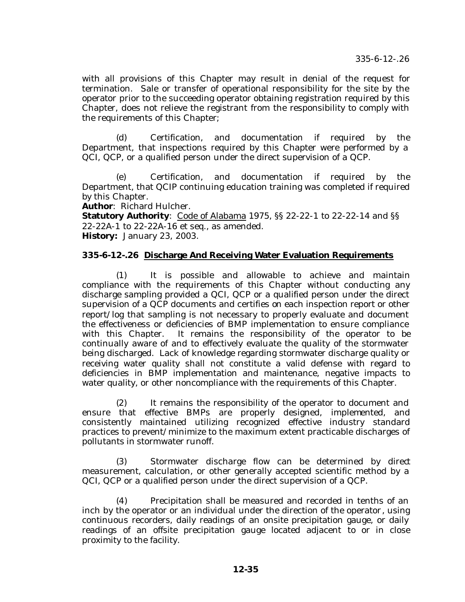with all provisions of this Chapter may result in denial of the request for termination. Sale or transfer of operational responsibility for the site by the operator prior to the succeeding operator obtaining registration required by this Chapter, does not relieve the registrant from the responsibility to comply with the requirements of this Chapter;

(d) Certification, and documentation if required by the Department, that inspections required by this Chapter were performed by a QCI, QCP, or a qualified person under the direct supervision of a QCP.

(e) Certification, and documentation if required by the Department, that QCIP continuing education training was completed if required by this Chapter.

**Author**: Richard Hulcher.

**Statutory Authority**: Code of Alabama 1975, SS 22-22-1 to 22-22-14 and SS 22-22A-1 to 22-22A-16 et seq., as amended. **History:** January 23, 2003.

#### **335-6-12-.26 Discharge And Receiving Water Evaluation Requirements**

(1) It is possible and allowable to achieve and maintain compliance with the requirements of this Chapter without conducting any discharge sampling provided a QCI, QCP or a qualified person under the direct supervision of a QCP documents and certifies on each inspection report or other report/log that sampling is not necessary to properly evaluate and document the effectiveness or deficiencies of BMP implementation to ensure compliance with this Chapter. It remains the responsibility of the operator to be continually aware of and to effectively evaluate the quality of the stormwater being discharged. Lack of knowledge regarding stormwater discharge quality or receiving water quality shall not constitute a valid defense with regard to deficiencies in BMP implementation and maintenance, negative impacts to water quality, or other noncompliance with the requirements of this Chapter.

(2) It remains the responsibility of the operator to document and ensure that effective BMPs are properly designed, implemented, and consistently maintained utilizing recognized effective industry standard practices to prevent/minimize to the maximum extent practicable discharges of pollutants in stormwater runoff.

(3) Stormwater discharge flow can be determined by direct measurement, calculation, or other generally accepted scientific method by a QCI, QCP or a qualified person under the direct supervision of a QCP.

(4) Precipitation shall be measured and recorded in tenths of an inch by the operator or an individual under the direction of the operator , using continuous recorders, daily readings of an onsite precipitation gauge, or daily readings of an offsite precipitation gauge located adjacent to or in close proximity to the facility.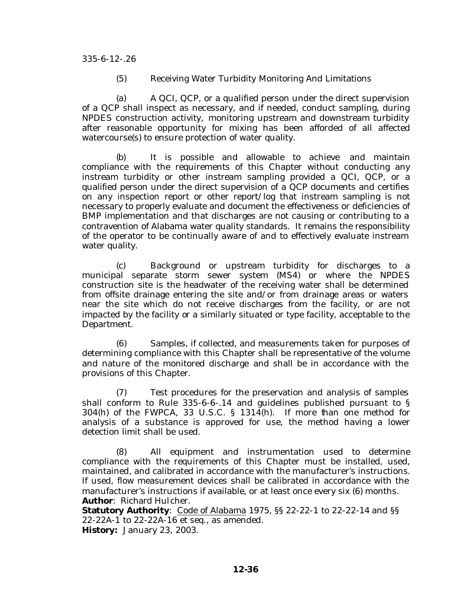(5) Receiving Water Turbidity Monitoring And Limitations

(a) A QCI, QCP, or a qualified person under the direct supervision of a QCP shall inspect as necessary, and if needed, conduct sampling, during NPDES construction activity, monitoring upstream and downstream turbidity after reasonable opportunity for mixing has been afforded of all affected watercourse(s) to ensure protection of water quality.

(b) It is possible and allowable to achieve and maintain compliance with the requirements of this Chapter without conducting any instream turbidity or other instream sampling provided a QCI, QCP, or a qualified person under the direct supervision of a QCP documents and certifies on any inspection report or other report/log that instream sampling is not necessary to properly evaluate and document the effectiveness or deficiencies of BMP implementation and that discharges are not causing or contributing to a contravention of Alabama water quality standards. It remains the responsibility of the operator to be continually aware of and to effectively evaluate instream water quality.

(c) Background or upstream turbidity for discharges to a municipal separate storm sewer system (MS4) or where the NPDES construction site is the headwater of the receiving water shall be determined from offsite drainage entering the site and/or from drainage areas or waters near the site which do not receive discharges from the facility, or are not impacted by the facility or a similarly situated or type facility, acceptable to the Department.

(6) Samples, if collected, and measurements taken for purposes of determining compliance with this Chapter shall be representative of the volume and nature of the monitored discharge and shall be in accordance with the provisions of this Chapter.

(7) Test procedures for the preservation and analysis of samples shall conform to Rule 335-6-6-.14 and guidelines published pursuant to § 304(h) of the FWPCA, 33 U.S.C. § 1314(h). If more than one method for analysis of a substance is approved for use, the method having a lower detection limit shall be used.

(8) All equipment and instrumentation used to determine compliance with the requirements of this Chapter must be installed, used, maintained, and calibrated in accordance with the manufacturer's instructions. If used, flow measurement devices shall be calibrated in accordance with the manufacturer's instructions if available, or at least once every six (6) months. **Author**: Richard Hulcher.

**Statutory Authority**: Code of Alabama 1975, §§ 22-22-1 to 22-22-14 and §§ 22-22A-1 to 22-22A-16 et seq., as amended. **History:** January 23, 2003.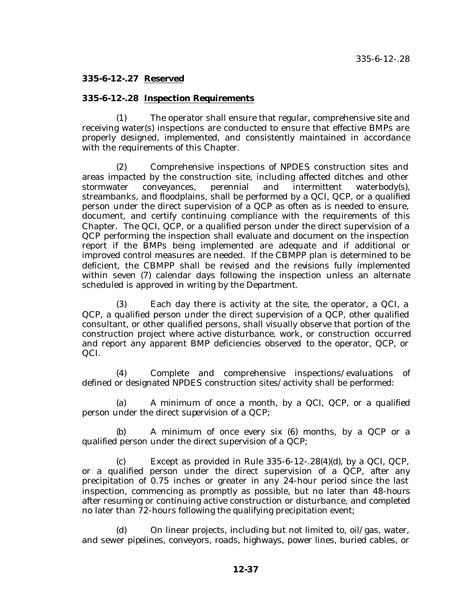## **335-6-12-.27 Reserved**

#### **335-6-12-.28 Inspection Requirements**

(1) The operator shall ensure that regular, comprehensive site and receiving water(s) inspections are conducted to ensure that effective BMPs are properly designed, implemented, and consistently maintained in accordance with the requirements of this Chapter.

(2) Comprehensive inspections of NPDES construction sites and areas impacted by the construction site, including affected ditches and other stormwater conveyances, perennial and intermittent waterbody(s), streambanks, and floodplains, shall be performed by a QCI, QCP, or a qualified person under the direct supervision of a QCP as often as is needed to ensure, document, and certify continuing compliance with the requirements of this Chapter. The QCI, QCP, or a qualified person under the direct supervision of a QCP performing the inspection shall evaluate and document on the inspection report if the BMPs being implemented are adequate and if additional or improved control measures are needed. If the CBMPP plan is determined to be deficient, the CBMPP shall be revised and the revisions fully implemented within seven (7) calendar days following the inspection unless an alternate scheduled is approved in writing by the Department.

(3) Each day there is activity at the site, the operator, a QCI, a QCP, a qualified person under the direct supervision of a QCP, other qualified consultant, or other qualified persons, shall visually observe that portion of the construction project where active disturbance, work, or construction occurred and report any apparent BMP deficiencies observed to the operator, QCP, or QCI.

(4) Complete and comprehensive inspections/evaluations of defined or designated NPDES construction sites/activity shall be performed:

(a) A minimum of once a month, by a QCI, QCP, or a qualified person under the direct supervision of a QCP;

(b) A minimum of once every six (6) months, by a QCP or a qualified person under the direct supervision of a QCP;

(c) Except as provided in Rule  $335-6-12-.28(4)(d)$ , by a QCI, QCP, or a qualified person under the direct supervision of a QCP, after any precipitation of 0.75 inches or greater in any 24-hour period since the last inspection, commencing as promptly as possible, but no later than 48-hours after resuming or continuing active construction or disturbance, and completed no later than 72-hours following the qualifying precipitation event;

(d) On linear projects, including but not limited to, oil/gas, water, and sewer pipelines, conveyors, roads, highways, power lines, buried cables, or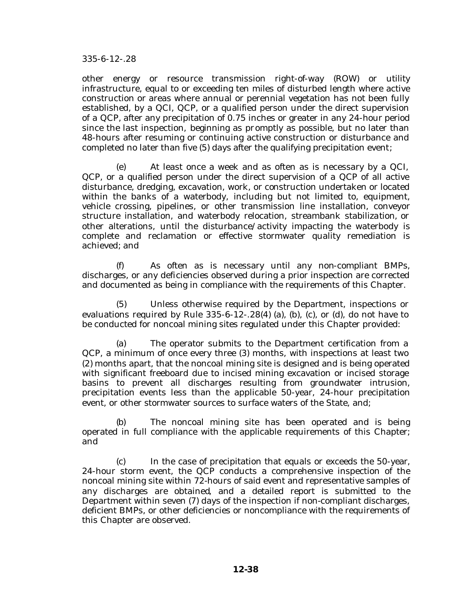other energy or resource transmission right-of-way (ROW) or utility infrastructure, equal to or exceeding ten miles of disturbed length where active construction or areas where annual or perennial vegetation has not been fully established, by a QCI, QCP, or a qualified person under the direct supervision of a QCP, after any precipitation of 0.75 inches or greater in any 24-hour period since the last inspection, beginning as promptly as possible, but no later than 48-hours after resuming or continuing active construction or disturbance and completed no later than five (5) days after the qualifying precipitation event;

(e) At least once a week and as often as is necessary by a QCI, QCP, or a qualified person under the direct supervision of a QCP of all active disturbance, dredging, excavation, work, or construction undertaken or located within the banks of a waterbody, including but not limited to, equipment, vehicle crossing, pipelines, or other transmission line installation, conveyor structure installation, and waterbody relocation, streambank stabilization, or other alterations, until the disturbance/activity impacting the waterbody is complete and reclamation or effective stormwater quality remediation is achieved; and

(f) As often as is necessary until any non-compliant BMPs, discharges, or any deficiencies observed during a prior inspection are corrected and documented as being in compliance with the requirements of this Chapter.

(5) Unless otherwise required by the Department, inspections or evaluations required by Rule  $335-6-12-.28(4)$  (a), (b), (c), or (d), do not have to be conducted for noncoal mining sites regulated under this Chapter provided:

(a) The operator submits to the Department certification from a QCP, a minimum of once every three (3) months, with inspections at least two (2) months apart, that the noncoal mining site is designed and is being operated with significant freeboard due to incised mining excavation or incised storage basins to prevent all discharges resulting from groundwater intrusion, precipitation events less than the applicable 50-year, 24-hour precipitation event, or other stormwater sources to surface waters of the State, and;

(b) The noncoal mining site has been operated and is being operated in full compliance with the applicable requirements of this Chapter; and

(c) In the case of precipitation that equals or exceeds the 50-year, 24-hour storm event, the QCP conducts a comprehensive inspection of the noncoal mining site within 72-hours of said event and representative samples of any discharges are obtained, and a detailed report is submitted to the Department within seven (7) days of the inspection if non-compliant discharges, deficient BMPs, or other deficiencies or noncompliance with the requirements of this Chapter are observed.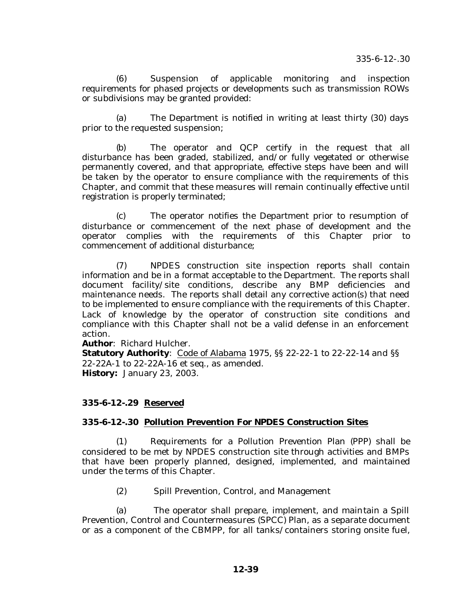(6) Suspension of applicable monitoring and inspection requirements for phased projects or developments such as transmission ROWs or subdivisions may be granted provided:

(a) The Department is notified in writing at least thirty (30) days prior to the requested suspension;

(b) The operator and QCP certify in the request that all disturbance has been graded, stabilized, and/or fully vegetated or otherwise permanently covered, and that appropriate, effective steps have been and will be taken by the operator to ensure compliance with the requirements of this Chapter, and commit that these measures will remain continually effective until registration is properly terminated;

(c) The operator notifies the Department prior to resumption of disturbance or commencement of the next phase of development and the operator complies with the requirements of this Chapter prior to commencement of additional disturbance;

(7) NPDES construction site inspection reports shall contain information and be in a format acceptable to the Department. The reports shall document facility/site conditions, describe any BMP deficiencies and maintenance needs. The reports shall detail any corrective action(s) that need to be implemented to ensure compliance with the requirements of this Chapter. Lack of knowledge by the operator of construction site conditions and compliance with this Chapter shall not be a valid defense in an enforcement action.

**Author**: Richard Hulcher.

**Statutory Authority**: Code of Alabama 1975, §§ 22-22-1 to 22-22-14 and §§ 22-22A-1 to 22-22A-16 et seq., as amended. **History:** January 23, 2003.

## **335-6-12-.29 Reserved**

## **335-6-12-.30 Pollution Prevention For NPDES Construction Sites**

(1) Requirements for a Pollution Prevention Plan (PPP) shall be considered to be met by NPDES construction site through activities and BMPs that have been properly planned, designed, implemented, and maintained under the terms of this Chapter.

(2) Spill Prevention, Control, and Management

(a) The operator shall prepare, implement, and maintain a Spill Prevention, Control and Countermeasures (SPCC) Plan, as a separate document or as a component of the CBMPP, for all tanks/containers storing onsite fuel,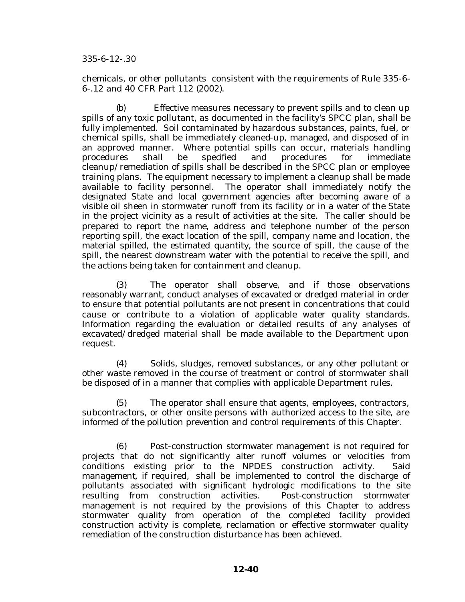chemicals, or other pollutants consistent with the requirements of Rule 335-6- 6-.12 and 40 CFR Part 112 (2002).

(b) Effective measures necessary to prevent spills and to clean up spills of any toxic pollutant, as documented in the facility's SPCC plan, shall be fully implemented. Soil contaminated by hazardous substances, paints, fuel, or chemical spills, shall be immediately cleaned-up, managed, and disposed of in an approved manner. Where potential spills can occur, materials handling procedures shall be specified and procedures for immediate cleanup/remediation of spills shall be described in the SPCC plan or employee training plans. The equipment necessary to implement a cleanup shall be made available to facility personnel. The operator shall immediately notify the designated State and local government agencies after becoming aware of a visible oil sheen in stormwater runoff from its facility or in a water of the State in the project vicinity as a result of activities at the site. The caller should be prepared to report the name, address and telephone number of the person reporting spill, the exact location of the spill, company name and location, the material spilled, the estimated quantity, the source of spill, the cause of the spill, the nearest downstream water with the potential to receive the spill, and the actions being taken for containment and cleanup.

(3) The operator shall observe, and if those observations reasonably warrant, conduct analyses of excavated or dredged material in order to ensure that potential pollutants are not present in concentrations that could cause or contribute to a violation of applicable water quality standards. Information regarding the evaluation or detailed results of any analyses of excavated/dredged material shall be made available to the Department upon request.

(4) Solids, sludges, removed substances, or any other pollutant or other waste removed in the course of treatment or control of stormwater shall be disposed of in a manner that complies with applicable Department rules.

(5) The operator shall ensure that agents, employees, contractors, subcontractors, or other onsite persons with authorized access to the site, are informed of the pollution prevention and control requirements of this Chapter.

(6) Post-construction stormwater management is not required for projects that do not significantly alter runoff volumes or velocities from conditions existing prior to the NPDES construction activity. Said management, if required, shall be implemented to control the discharge of pollutants associated with significant hydrologic modifications to the site resulting from construction activities. Post-construction stormwater management is not required by the provisions of this Chapter to address stormwater quality from operation of the completed facility provided construction activity is complete, reclamation or effective stormwater quality remediation of the construction disturbance has been achieved.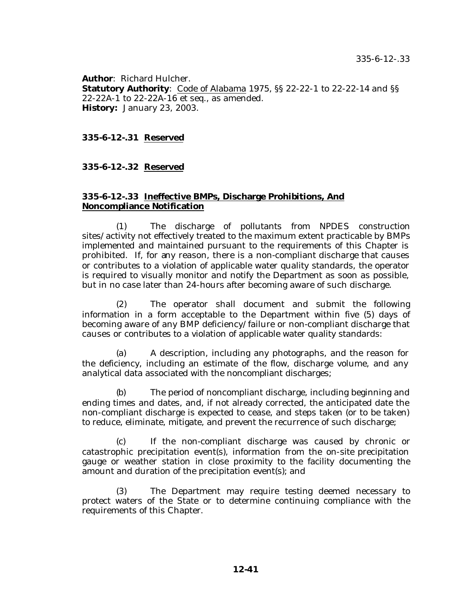**Author**: Richard Hulcher. **Statutory Authority**: Code of Alabama 1975, §§ 22-22-1 to 22-22-14 and §§ 22-22A-1 to 22-22A-16 et seq., as amended. **History:** January 23, 2003.

# **335-6-12-.31 Reserved**

#### **335-6-12-.32 Reserved**

#### **335-6-12-.33 Ineffective BMPs, Discharge Prohibitions, And Noncompliance Notification**

(1) The discharge of pollutants from NPDES construction sites/activity not effectively treated to the maximum extent practicable by BMPs implemented and maintained pursuant to the requirements of this Chapter is prohibited. If, for any reason, there is a non-compliant discharge that causes or contributes to a violation of applicable water quality standards, the operator is required to visually monitor and notify the Department as soon as possible, but in no case later than 24-hours after becoming aware of such discharge.

(2) The operator shall document and submit the following information in a form acceptable to the Department within five (5) days of becoming aware of any BMP deficiency/failure or non-compliant discharge that causes or contributes to a violation of applicable water quality standards:

(a) A description, including any photographs, and the reason for the deficiency, including an estimate of the flow, discharge volume, and any analytical data associated with the noncompliant discharges;

(b) The period of noncompliant discharge, including beginning and ending times and dates, and, if not already corrected, the anticipated date the non-compliant discharge is expected to cease, and steps taken (or to be taken) to reduce, eliminate, mitigate, and prevent the recurrence of such discharge;

(c) If the non-compliant discharge was caused by chronic or catastrophic precipitation event(s), information from the on-site precipitation gauge or weather station in close proximity to the facility documenting the amount and duration of the precipitation event(s); and

(3) The Department may require testing deemed necessary to protect waters of the State or to determine continuing compliance with the requirements of this Chapter.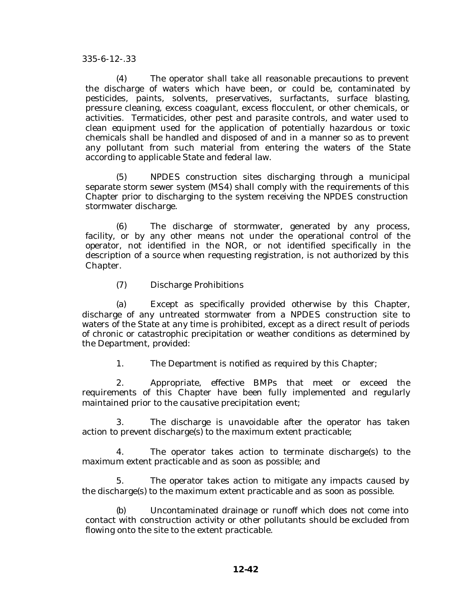(4) The operator shall take all reasonable precautions to prevent the discharge of waters which have been, or could be, contaminated by pesticides, paints, solvents, preservatives, surfactants, surface blasting, pressure cleaning, excess coagulant, excess flocculent, or other chemicals, or activities. Termaticides, other pest and parasite controls, and water used to clean equipment used for the application of potentially hazardous or toxic chemicals shall be handled and disposed of and in a manner so as to prevent any pollutant from such material from entering the waters of the State according to applicable State and federal law.

(5) NPDES construction sites discharging through a municipal separate storm sewer system (MS4) shall comply with the requirements of this Chapter prior to discharging to the system receiving the NPDES construction stormwater discharge.

(6) The discharge of stormwater, generated by any process, facility, or by any other means not under the operational control of the operator, not identified in the NOR, or not identified specifically in the description of a source when requesting registration, is not authorized by this Chapter.

(7) Discharge Prohibitions

(a) Except as specifically provided otherwise by this Chapter, discharge of any untreated stormwater from a NPDES construction site to waters of the State at any time is prohibited, except as a direct result of periods of chronic or catastrophic precipitation or weather conditions as determined by the Department, provided:

1. The Department is notified as required by this Chapter;

2. Appropriate, effective BMPs that meet or exceed the requirements of this Chapter have been fully implemented and regularly maintained prior to the causative precipitation event;

3. The discharge is unavoidable after the operator has taken action to prevent discharge(s) to the maximum extent practicable;

4. The operator takes action to terminate discharge(s) to the maximum extent practicable and as soon as possible; and

5. The operator takes action to mitigate any impacts caused by the discharge(s) to the maximum extent practicable and as soon as possible.

(b) Uncontaminated drainage or runoff which does not come into contact with construction activity or other pollutants should be excluded from flowing onto the site to the extent practicable.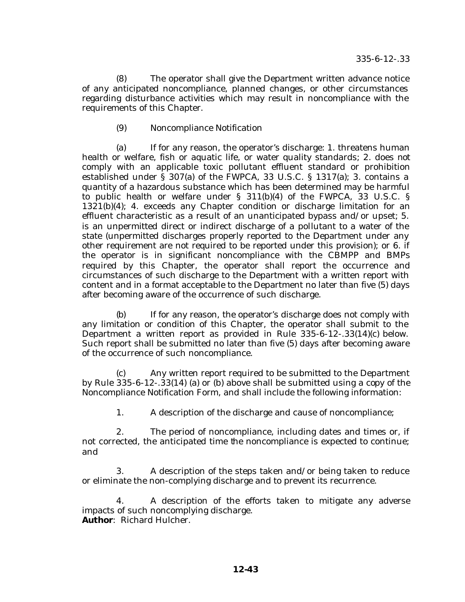(8) The operator shall give the Department written advance notice of any anticipated noncompliance, planned changes, or other circumstances regarding disturbance activities which may result in noncompliance with the requirements of this Chapter.

# (9) Noncompliance Notification

(a) If for any reason, the operator's discharge: 1. threatens human health or welfare, fish or aquatic life, or water quality standards; 2. does not comply with an applicable toxic pollutant effluent standard or prohibition established under § 307(a) of the FWPCA, 33 U.S.C. § 1317(a); 3. contains a quantity of a hazardous substance which has been determined may be harmful to public health or welfare under § 311(b)(4) of the FWPCA, 33 U.S.C. § 1321(b)(4); 4. exceeds any Chapter condition or discharge limitation for an effluent characteristic as a result of an unanticipated bypass and/or upset; 5. is an unpermitted direct or indirect discharge of a pollutant to a water of the state (unpermitted discharges properly reported to the Department under any other requirement are not required to be reported under this provision); or 6. if the operator is in significant noncompliance with the CBMPP and BMPs required by this Chapter, the operator shall report the occurrence and circumstances of such discharge to the Department with a written report with content and in a format acceptable to the Department no later than five (5) days after becoming aware of the occurrence of such discharge.

(b) If for any reason, the operator's discharge does not comply with any limitation or condition of this Chapter, the operator shall submit to the Department a written report as provided in Rule 335-6-12-.33(14)(c) below. Such report shall be submitted no later than five (5) days after becoming aware of the occurrence of such noncompliance.

(c) Any written report required to be submitted to the Department by Rule 335-6-12-.33(14) (a) or (b) above shall be submitted using a copy of the Noncompliance Notification Form, and shall include the following information:

1. A description of the discharge and cause of noncompliance;

2. The period of noncompliance, including dates and times or, if not corrected, the anticipated time the noncompliance is expected to continue; and

3. A description of the steps taken and/or being taken to reduce or eliminate the non-complying discharge and to prevent its recurrence.

4. A description of the efforts taken to mitigate any adverse impacts of such noncomplying discharge. **Author**: Richard Hulcher.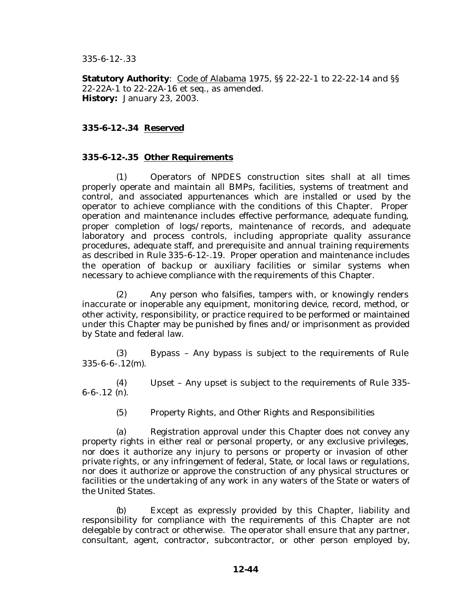**Statutory Authority**: Code of Alabama 1975, §§ 22-22-1 to 22-22-14 and §§ 22-22A-1 to 22-22A-16 et seq., as amended. **History:** January 23, 2003.

# **335-6-12-.34 Reserved**

## **335-6-12-.35 Other Requirements**

(1) Operators of NPDES construction sites shall at all times properly operate and maintain all BMPs, facilities, systems of treatment and control, and associated appurtenances which are installed or used by the operator to achieve compliance with the conditions of this Chapter. Proper operation and maintenance includes effective performance, adequate funding, proper completion of logs/reports, maintenance of records, and adequate laboratory and process controls, including appropriate quality assurance procedures, adequate staff, and prerequisite and annual training requirements as described in Rule 335-6-12-.19. Proper operation and maintenance includes the operation of backup or auxiliary facilities or similar systems when necessary to achieve compliance with the requirements of this Chapter.

(2) Any person who falsifies, tampers with, or knowingly renders inaccurate or inoperable any equipment, monitoring device, record, method, or other activity, responsibility, or practice required to be performed or maintained under this Chapter may be punished by fines and/or imprisonment as provided by State and federal law.

(3) Bypass – Any bypass is subject to the requirements of Rule 335-6-6-.12(m).

(4) Upset – Any upset is subject to the requirements of Rule 335- 6-6-.12 (n).

(5) Property Rights, and Other Rights and Responsibilities

(a) Registration approval under this Chapter does not convey any property rights in either real or personal property, or any exclusive privileges, nor doe s it authorize any injury to persons or property or invasion of other private rights, or any infringement of federal, State, or local laws or regulations, nor does it authorize or approve the construction of any physical structures or facilities or the undertaking of any work in any waters of the State or waters of the United States.

(b) Except as expressly provided by this Chapter, liability and responsibility for compliance with the requirements of this Chapter are not delegable by contract or otherwise. The operator shall ensure that any partner, consultant, agent, contractor, subcontractor, or other person employed by,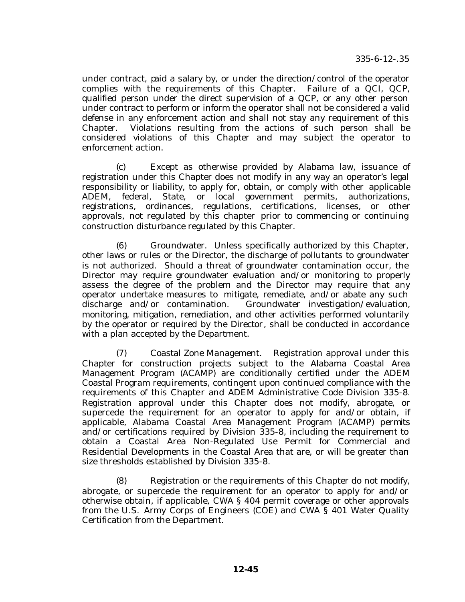under contract, paid a salary by, or under the direction/control of the operator complies with the requirements of this Chapter. Failure of a QCI, QCP, qualified person under the direct supervision of a QCP, or any other person under contract to perform or inform the operator shall not be considered a valid defense in any enforcement action and shall not stay any requirement of this Chapter. Violations resulting from the actions of such person shall be considered violations of this Chapter and may subject the operator to enforcement action.

(c) Except as otherwise provided by Alabama law, issuance of registration under this Chapter does not modify in any way an operator's legal responsibility or liability, to apply for, obtain, or comply with other applicable ADEM, federal, State, or local government permits, authorizations, registrations, ordinances, regulations, certifications, licenses, or other approvals, not regulated by this chapter prior to commencing or continuing construction disturbance regulated by this Chapter.

(6) Groundwater. Unless specifically authorized by this Chapter, other laws or rules or the Director, the discharge of pollutants to groundwater is not authorized. Should a threat of groundwater contamination occur, the Director may require groundwater evaluation and/or monitoring to properly assess the degree of the problem and the Director may require that any operator undertake measures to mitigate, remediate, and/or abate any such discharge and/or contamination. Groundwater investigation/evaluation, monitoring, mitigation, remediation, and other activities performed voluntarily by the operator or required by the Director, shall be conducted in accordance with a plan accepted by the Department.

(7) Coastal Zone Management. Registration approval under this Chapter for construction projects subject to the Alabama Coastal Area Management Program (ACAMP) are conditionally certified under the ADEM Coastal Program requirements, contingent upon continued compliance with the requirements of this Chapter and ADEM Administrative Code Division 335-8. Registration approval under this Chapter does not modify, abrogate, or supercede the requirement for an operator to apply for and/or obtain, if applicable, Alabama Coastal Area Management Program (ACAMP) permits and/or certifications required by Division 335-8, including the requirement to obtain a Coastal Area Non-Regulated Use Permit for Commercial and Residential Developments in the Coastal Area that are, or will be greater than size thresholds established by Division 335-8.

(8) Registration or the requirements of this Chapter do not modify, abrogate, or supercede the requirement for an operator to apply for and/or otherwise obtain, if applicable, CWA § 404 permit coverage or other approvals from the U.S. Army Corps of Engineers (COE) and CWA § 401 Water Quality Certification from the Department.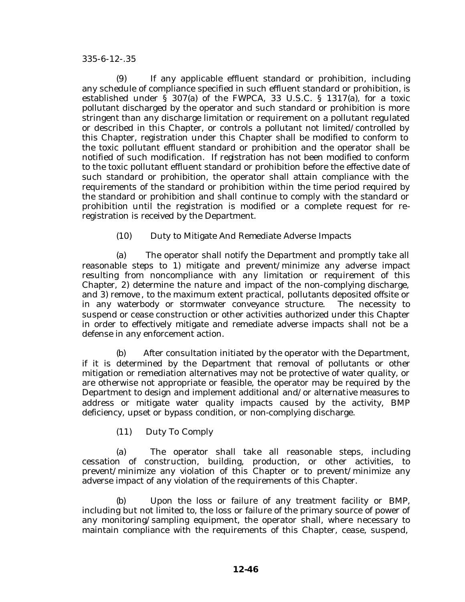(9) If any applicable effluent standard or prohibition, including any schedule of compliance specified in such effluent standard or prohibition, is established under § 307(a) of the FWPCA, 33 U.S.C. § 1317(a), for a toxic pollutant discharged by the operator and such standard or prohibition is more stringent than any discharge limitation or requirement on a pollutant regulated or described in this Chapter, or controls a pollutant not limited/controlled by this Chapter, registration under this Chapter shall be modified to conform to the toxic pollutant effluent standard or prohibition and the operator shall be notified of such modification. If registration has not been modified to conform to the toxic pollutant effluent standard or prohibition before the effective date of such standard or prohibition, the operator shall attain compliance with the requirements of the standard or prohibition within the time period required by the standard or prohibition and shall continue to comply with the standard or prohibition until the registration is modified or a complete request for reregistration is received by the Department.

(10) Duty to Mitigate And Remediate Adverse Impacts

(a) The operator shall notify the Department and promptly take all reasonable steps to 1) mitigate and prevent/minimize any adverse impact resulting from noncompliance with any limitation or requirement of this Chapter, 2) determine the nature and impact of the non-complying discharge, and 3) remove , to the maximum extent practical, pollutants deposited offsite or in any waterbody or stormwater conveyance structure. The necessity to suspend or cease construction or other activities authorized under this Chapter in order to effectively mitigate and remediate adverse impacts shall not be a defense in any enforcement action.

(b) After consultation initiated by the operator with the Department, if it is determined by the Department that removal of pollutants or other mitigation or remediation alternatives may not be protective of water quality, or are otherwise not appropriate or feasible, the operator may be required by the Department to design and implement additional and/or alternative measures to address or mitigate water quality impacts caused by the activity, BMP deficiency, upset or bypass condition, or non-complying discharge.

(11) Duty To Comply

(a) The operator shall take all reasonable steps, including cessation of construction, building, production, or other activities, to prevent/minimize any violation of this Chapter or to prevent/minimize any adverse impact of any violation of the requirements of this Chapter.

(b) Upon the loss or failure of any treatment facility or BMP, including but not limited to, the loss or failure of the primary source of power of any monitoring/sampling equipment, the operator shall, where necessary to maintain compliance with the requirements of this Chapter, cease, suspend,